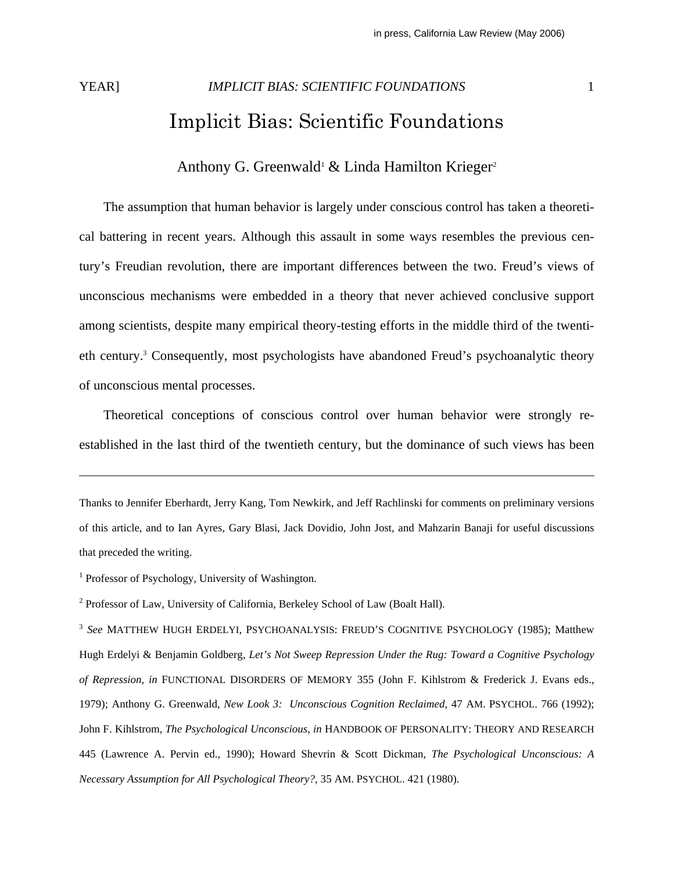# YEAR] *IMPLICIT BIAS: SCIENTIFIC FOUNDATIONS* 1 Implicit Bias: Scientific Foundations

# Anthony G. Greenwald<sup>1</sup> & Linda Hamilton Krieger<sup>2</sup>

 The assumption that human behavior is largely under conscious control has taken a theoretical battering in recent years. Although this assault in some ways resembles the previous century's Freudian revolution, there are important differences between the two. Freud's views of unconscious mechanisms were embedded in a theory that never achieved conclusive support among scientists, despite many empirical theory-testing efforts in the middle third of the twentieth century.<sup>3</sup> Consequently, most psychologists have abandoned Freud's psychoanalytic theory of unconscious mental processes.

 Theoretical conceptions of conscious control over human behavior were strongly reestablished in the last third of the twentieth century, but the dominance of such views has been

Thanks to Jennifer Eberhardt, Jerry Kang, Tom Newkirk, and Jeff Rachlinski for comments on preliminary versions of this article, and to Ian Ayres, Gary Blasi, Jack Dovidio, John Jost, and Mahzarin Banaji for useful discussions that preceded the writing.

<sup>1</sup> Professor of Psychology, University of Washington.

<sup>2</sup> Professor of Law, University of California, Berkeley School of Law (Boalt Hall).

<sup>3</sup> *See* MATTHEW HUGH ERDELYI, PSYCHOANALYSIS: FREUD'S COGNITIVE PSYCHOLOGY (1985); Matthew Hugh Erdelyi & Benjamin Goldberg, *Let's Not Sweep Repression Under the Rug: Toward a Cognitive Psychology of Repression*, *in* FUNCTIONAL DISORDERS OF MEMORY 355 (John F. Kihlstrom & Frederick J. Evans eds., 1979); Anthony G. Greenwald, *New Look 3: Unconscious Cognition Reclaimed*, 47 AM. PSYCHOL. 766 (1992); John F. Kihlstrom, *The Psychological Unconscious*, *in* HANDBOOK OF PERSONALITY: THEORY AND RESEARCH 445 (Lawrence A. Pervin ed., 1990); Howard Shevrin & Scott Dickman, *The Psychological Unconscious: A Necessary Assumption for All Psychological Theory?*, 35 AM. PSYCHOL. 421 (1980).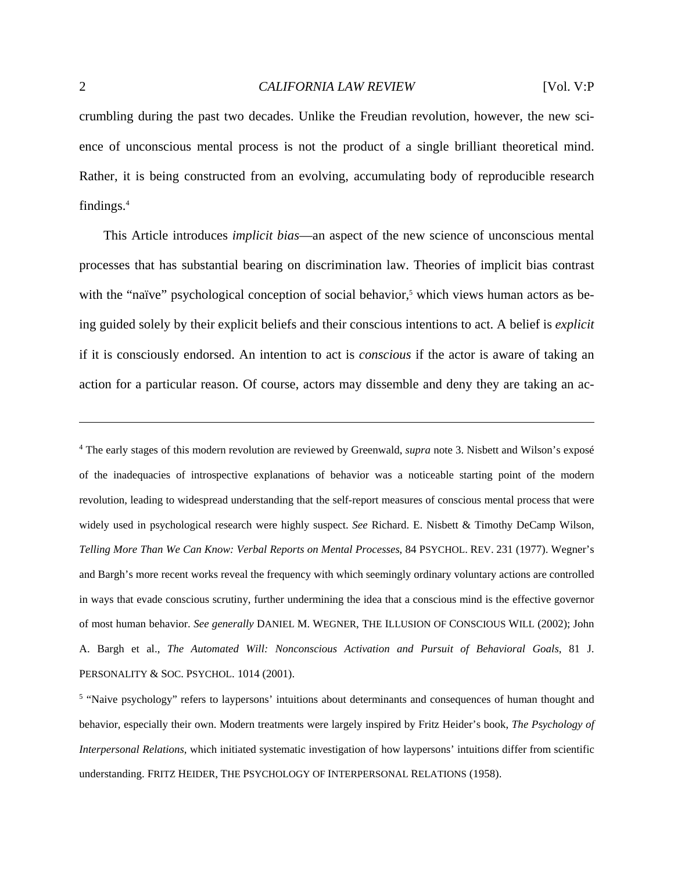crumbling during the past two decades. Unlike the Freudian revolution, however, the new science of unconscious mental process is not the product of a single brilliant theoretical mind. Rather, it is being constructed from an evolving, accumulating body of reproducible research findings.4

 This Article introduces *implicit bias*—an aspect of the new science of unconscious mental processes that has substantial bearing on discrimination law. Theories of implicit bias contrast with the "naïve" psychological conception of social behavior,<sup>5</sup> which views human actors as being guided solely by their explicit beliefs and their conscious intentions to act. A belief is *explicit* if it is consciously endorsed. An intention to act is *conscious* if the actor is aware of taking an action for a particular reason. Of course, actors may dissemble and deny they are taking an ac-

4 The early stages of this modern revolution are reviewed by Greenwald, *supra* note 3. Nisbett and Wilson's exposé of the inadequacies of introspective explanations of behavior was a noticeable starting point of the modern revolution, leading to widespread understanding that the self-report measures of conscious mental process that were widely used in psychological research were highly suspect. *See* Richard. E. Nisbett & Timothy DeCamp Wilson, *Telling More Than We Can Know: Verbal Reports on Mental Processes*, 84 PSYCHOL. REV. 231 (1977). Wegner's and Bargh's more recent works reveal the frequency with which seemingly ordinary voluntary actions are controlled in ways that evade conscious scrutiny, further undermining the idea that a conscious mind is the effective governor of most human behavior. *See generally* DANIEL M. WEGNER, THE ILLUSION OF CONSCIOUS WILL (2002); John A. Bargh et al., *The Automated Will: Nonconscious Activation and Pursuit of Behavioral Goals*, 81 J. PERSONALITY & SOC. PSYCHOL. 1014 (2001).

<sup>5</sup> "Naive psychology" refers to laypersons' intuitions about determinants and consequences of human thought and behavior, especially their own. Modern treatments were largely inspired by Fritz Heider's book, *The Psychology of Interpersonal Relations*, which initiated systematic investigation of how laypersons' intuitions differ from scientific understanding. FRITZ HEIDER, THE PSYCHOLOGY OF INTERPERSONAL RELATIONS (1958).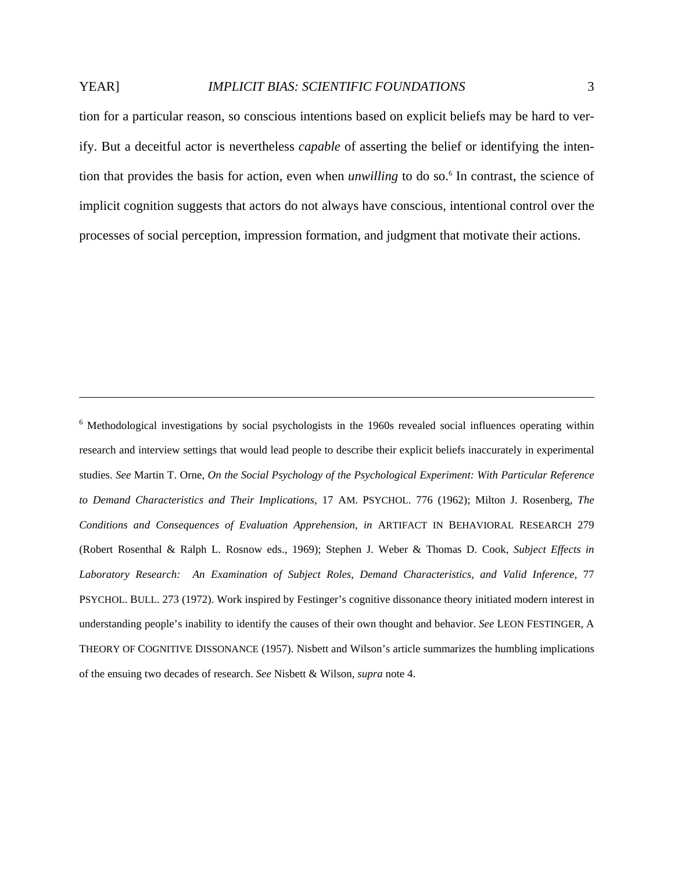<u>.</u>

tion for a particular reason, so conscious intentions based on explicit beliefs may be hard to verify. But a deceitful actor is nevertheless *capable* of asserting the belief or identifying the intention that provides the basis for action, even when *unwilling* to do so.<sup>6</sup> In contrast, the science of implicit cognition suggests that actors do not always have conscious, intentional control over the processes of social perception, impression formation, and judgment that motivate their actions.

<sup>6</sup> Methodological investigations by social psychologists in the 1960s revealed social influences operating within research and interview settings that would lead people to describe their explicit beliefs inaccurately in experimental studies. *See* Martin T. Orne, *On the Social Psychology of the Psychological Experiment: With Particular Reference to Demand Characteristics and Their Implications*, 17 AM. PSYCHOL. 776 (1962); Milton J. Rosenberg, *The Conditions and Consequences of Evaluation Apprehension*, *in* ARTIFACT IN BEHAVIORAL RESEARCH 279 (Robert Rosenthal & Ralph L. Rosnow eds., 1969); Stephen J. Weber & Thomas D. Cook, *Subject Effects in Laboratory Research: An Examination of Subject Roles, Demand Characteristics, and Valid Inference*, 77 PSYCHOL. BULL. 273 (1972). Work inspired by Festinger's cognitive dissonance theory initiated modern interest in understanding people's inability to identify the causes of their own thought and behavior. *See* LEON FESTINGER, A THEORY OF COGNITIVE DISSONANCE (1957). Nisbett and Wilson's article summarizes the humbling implications of the ensuing two decades of research. *See* Nisbett & Wilson, *supra* note 4.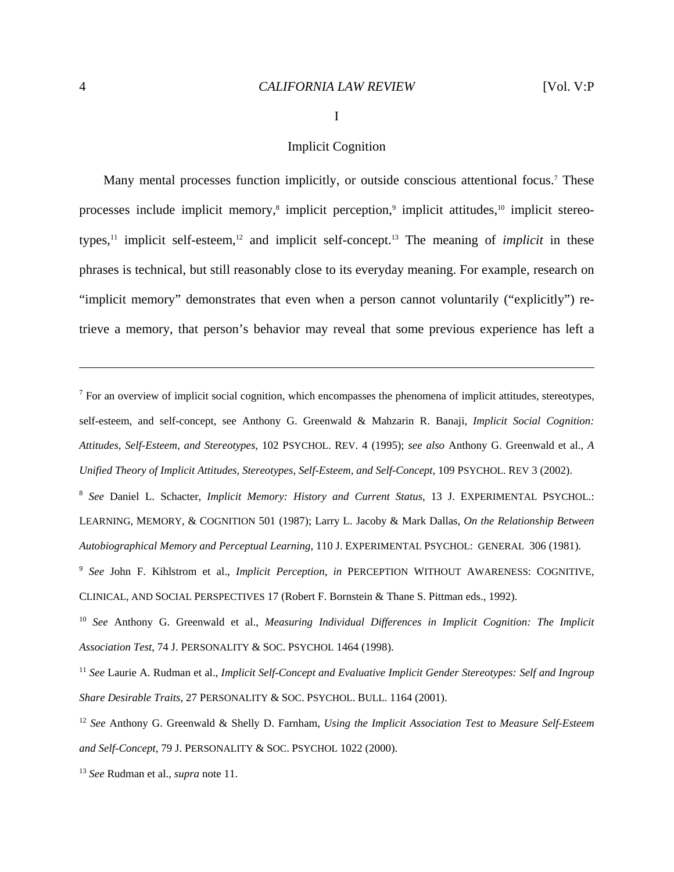#### I

# Implicit Cognition

Many mental processes function implicitly, or outside conscious attentional focus.<sup>7</sup> These processes include implicit memory,<sup>8</sup> implicit perception,<sup>9</sup> implicit attitudes,<sup>10</sup> implicit stereotypes,<sup>11</sup> implicit self-esteem,<sup>12</sup> and implicit self-concept.<sup>13</sup> The meaning of *implicit* in these phrases is technical, but still reasonably close to its everyday meaning. For example, research on "implicit memory" demonstrates that even when a person cannot voluntarily ("explicitly") retrieve a memory, that person's behavior may reveal that some previous experience has left a

 $<sup>7</sup>$  For an overview of implicit social cognition, which encompasses the phenomena of implicit attitudes, stereotypes,</sup> self-esteem, and self-concept, see Anthony G. Greenwald & Mahzarin R. Banaji, *Implicit Social Cognition: Attitudes, Self-Esteem, and Stereotypes*, 102 PSYCHOL. REV. 4 (1995); *see also* Anthony G. Greenwald et al., *A Unified Theory of Implicit Attitudes, Stereotypes, Self-Esteem, and Self-Concept*, 109 PSYCHOL. REV 3 (2002).

<sup>8</sup> *See* Daniel L. Schacter, *Implicit Memory: History and Current Status*, 13 J. EXPERIMENTAL PSYCHOL.: LEARNING, MEMORY, & COGNITION 501 (1987); Larry L. Jacoby & Mark Dallas, *On the Relationship Between Autobiographical Memory and Perceptual Learning*, 110 J. EXPERIMENTAL PSYCHOL: GENERAL 306 (1981).

<sup>9</sup> *See* John F. Kihlstrom et al., *Implicit Perception*, *in* PERCEPTION WITHOUT AWARENESS: COGNITIVE, CLINICAL, AND SOCIAL PERSPECTIVES 17 (Robert F. Bornstein & Thane S. Pittman eds., 1992).

<sup>10</sup> *See* Anthony G. Greenwald et al., *Measuring Individual Differences in Implicit Cognition: The Implicit Association Test*, 74 J. PERSONALITY & SOC. PSYCHOL 1464 (1998).

<sup>11</sup> *See* Laurie A. Rudman et al., *Implicit Self-Concept and Evaluative Implicit Gender Stereotypes: Self and Ingroup Share Desirable Traits*, 27 PERSONALITY & SOC. PSYCHOL. BULL. 1164 (2001).

<sup>12</sup> *See* Anthony G. Greenwald & Shelly D. Farnham, *Using the Implicit Association Test to Measure Self-Esteem and Self-Concept*, 79 J. PERSONALITY & SOC. PSYCHOL 1022 (2000).

<sup>13</sup> *See* Rudman et al., *supra* note 11.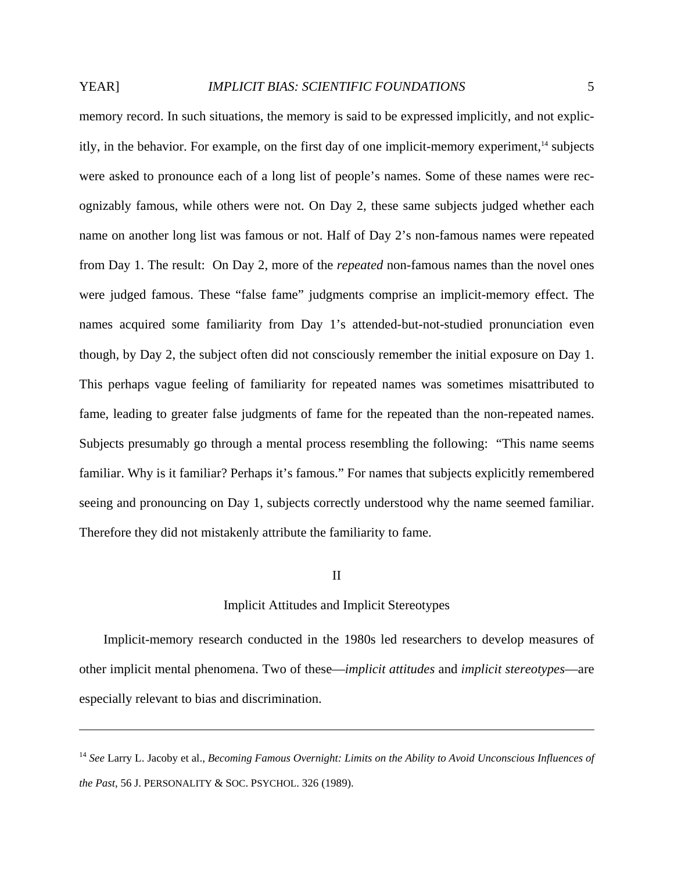1

memory record. In such situations, the memory is said to be expressed implicitly, and not explicitly, in the behavior. For example, on the first day of one implicit-memory experiment, $<sup>14</sup>$  subjects</sup> were asked to pronounce each of a long list of people's names. Some of these names were recognizably famous, while others were not. On Day 2, these same subjects judged whether each name on another long list was famous or not. Half of Day 2's non-famous names were repeated from Day 1. The result: On Day 2, more of the *repeated* non-famous names than the novel ones were judged famous. These "false fame" judgments comprise an implicit-memory effect. The names acquired some familiarity from Day 1's attended-but-not-studied pronunciation even though, by Day 2, the subject often did not consciously remember the initial exposure on Day 1. This perhaps vague feeling of familiarity for repeated names was sometimes misattributed to fame, leading to greater false judgments of fame for the repeated than the non-repeated names. Subjects presumably go through a mental process resembling the following: "This name seems familiar. Why is it familiar? Perhaps it's famous." For names that subjects explicitly remembered seeing and pronouncing on Day 1, subjects correctly understood why the name seemed familiar. Therefore they did not mistakenly attribute the familiarity to fame.

# II

# Implicit Attitudes and Implicit Stereotypes

 Implicit-memory research conducted in the 1980s led researchers to develop measures of other implicit mental phenomena. Two of these—*implicit attitudes* and *implicit stereotypes*—are especially relevant to bias and discrimination.

<sup>14</sup> *See* Larry L. Jacoby et al., *Becoming Famous Overnight: Limits on the Ability to Avoid Unconscious Influences of the Past*, 56 J. PERSONALITY & SOC. PSYCHOL. 326 (1989).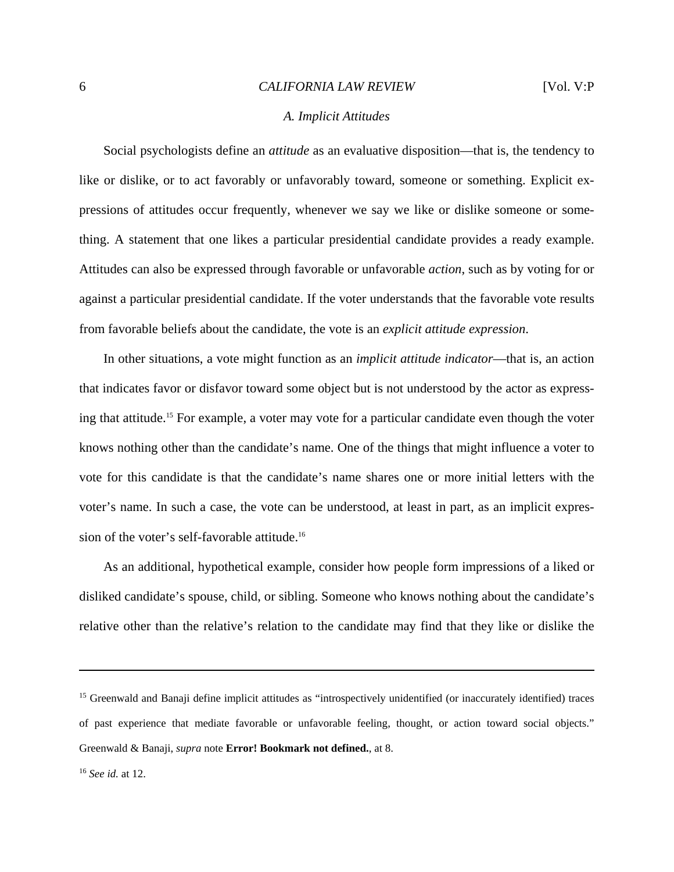# *A. Implicit Attitudes*

 Social psychologists define an *attitude* as an evaluative disposition—that is, the tendency to like or dislike, or to act favorably or unfavorably toward, someone or something. Explicit expressions of attitudes occur frequently, whenever we say we like or dislike someone or something. A statement that one likes a particular presidential candidate provides a ready example. Attitudes can also be expressed through favorable or unfavorable *action*, such as by voting for or against a particular presidential candidate. If the voter understands that the favorable vote results from favorable beliefs about the candidate, the vote is an *explicit attitude expression*.

 In other situations, a vote might function as an *implicit attitude indicator*—that is, an action that indicates favor or disfavor toward some object but is not understood by the actor as expressing that attitude.15 For example, a voter may vote for a particular candidate even though the voter knows nothing other than the candidate's name. One of the things that might influence a voter to vote for this candidate is that the candidate's name shares one or more initial letters with the voter's name. In such a case, the vote can be understood, at least in part, as an implicit expression of the voter's self-favorable attitude.16

 As an additional, hypothetical example, consider how people form impressions of a liked or disliked candidate's spouse, child, or sibling. Someone who knows nothing about the candidate's relative other than the relative's relation to the candidate may find that they like or dislike the

<sup>&</sup>lt;sup>15</sup> Greenwald and Banaji define implicit attitudes as "introspectively unidentified (or inaccurately identified) traces of past experience that mediate favorable or unfavorable feeling, thought, or action toward social objects." Greenwald & Banaji, *supra* note **Error! Bookmark not defined.**, at 8.

<sup>16</sup> *See id.* at 12.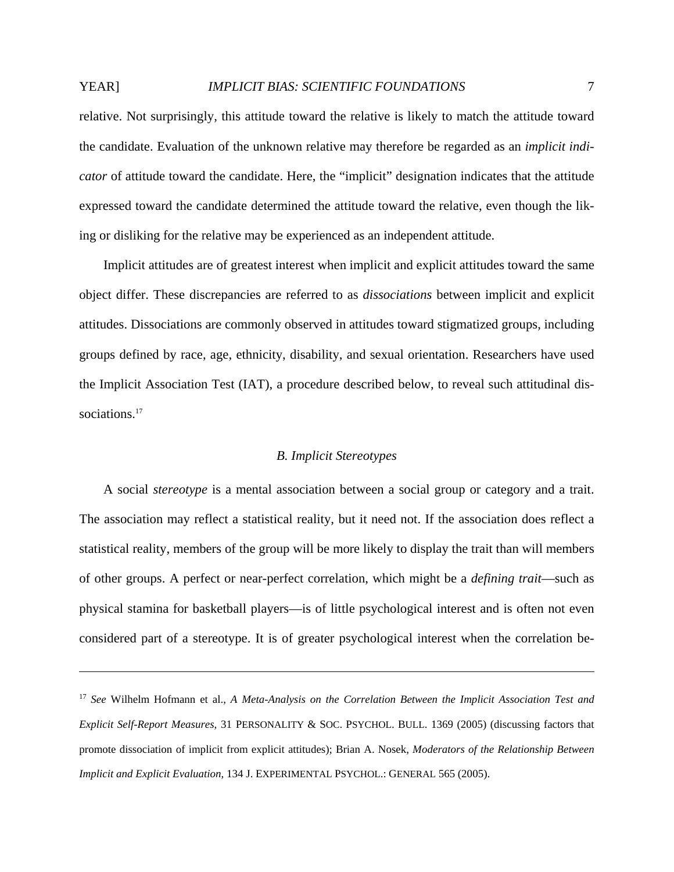relative. Not surprisingly, this attitude toward the relative is likely to match the attitude toward the candidate. Evaluation of the unknown relative may therefore be regarded as an *implicit indicator* of attitude toward the candidate. Here, the "implicit" designation indicates that the attitude expressed toward the candidate determined the attitude toward the relative, even though the liking or disliking for the relative may be experienced as an independent attitude.

 Implicit attitudes are of greatest interest when implicit and explicit attitudes toward the same object differ. These discrepancies are referred to as *dissociations* between implicit and explicit attitudes. Dissociations are commonly observed in attitudes toward stigmatized groups, including groups defined by race, age, ethnicity, disability, and sexual orientation. Researchers have used the Implicit Association Test (IAT), a procedure described below, to reveal such attitudinal dissociations.<sup>17</sup>

# *B. Implicit Stereotypes*

 A social *stereotype* is a mental association between a social group or category and a trait. The association may reflect a statistical reality, but it need not. If the association does reflect a statistical reality, members of the group will be more likely to display the trait than will members of other groups. A perfect or near-perfect correlation, which might be a *defining trait*—such as physical stamina for basketball players—is of little psychological interest and is often not even considered part of a stereotype. It is of greater psychological interest when the correlation be-

<sup>17</sup> *See* Wilhelm Hofmann et al., *A Meta-Analysis on the Correlation Between the Implicit Association Test and Explicit Self-Report Measures*, 31 PERSONALITY & SOC. PSYCHOL. BULL. 1369 (2005) (discussing factors that promote dissociation of implicit from explicit attitudes); Brian A. Nosek, *Moderators of the Relationship Between Implicit and Explicit Evaluation*, 134 J. EXPERIMENTAL PSYCHOL.: GENERAL 565 (2005).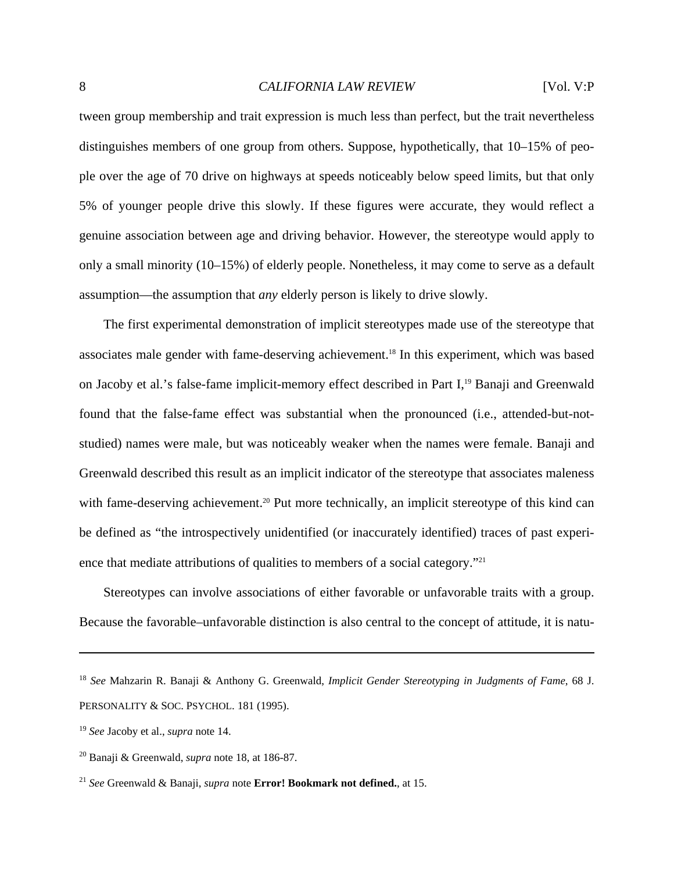tween group membership and trait expression is much less than perfect, but the trait nevertheless distinguishes members of one group from others. Suppose, hypothetically, that 10–15% of people over the age of 70 drive on highways at speeds noticeably below speed limits, but that only 5% of younger people drive this slowly. If these figures were accurate, they would reflect a genuine association between age and driving behavior. However, the stereotype would apply to only a small minority (10–15%) of elderly people. Nonetheless, it may come to serve as a default assumption—the assumption that *any* elderly person is likely to drive slowly.

 The first experimental demonstration of implicit stereotypes made use of the stereotype that associates male gender with fame-deserving achievement.18 In this experiment, which was based on Jacoby et al.'s false-fame implicit-memory effect described in Part I,19 Banaji and Greenwald found that the false-fame effect was substantial when the pronounced (i.e., attended-but-notstudied) names were male, but was noticeably weaker when the names were female. Banaji and Greenwald described this result as an implicit indicator of the stereotype that associates maleness with fame-deserving achievement.<sup>20</sup> Put more technically, an implicit stereotype of this kind can be defined as "the introspectively unidentified (or inaccurately identified) traces of past experience that mediate attributions of qualities to members of a social category."<sup>21</sup>

 Stereotypes can involve associations of either favorable or unfavorable traits with a group. Because the favorable–unfavorable distinction is also central to the concept of attitude, it is natu-

<u>.</u>

<sup>18</sup> *See* Mahzarin R. Banaji & Anthony G. Greenwald, *Implicit Gender Stereotyping in Judgments of Fame*, 68 J. PERSONALITY & SOC. PSYCHOL. 181 (1995).

<sup>19</sup> *See* Jacoby et al., *supra* note 14.

<sup>20</sup> Banaji & Greenwald, *supra* note 18, at 186-87.

<sup>21</sup> *See* Greenwald & Banaji, *supra* note **Error! Bookmark not defined.**, at 15.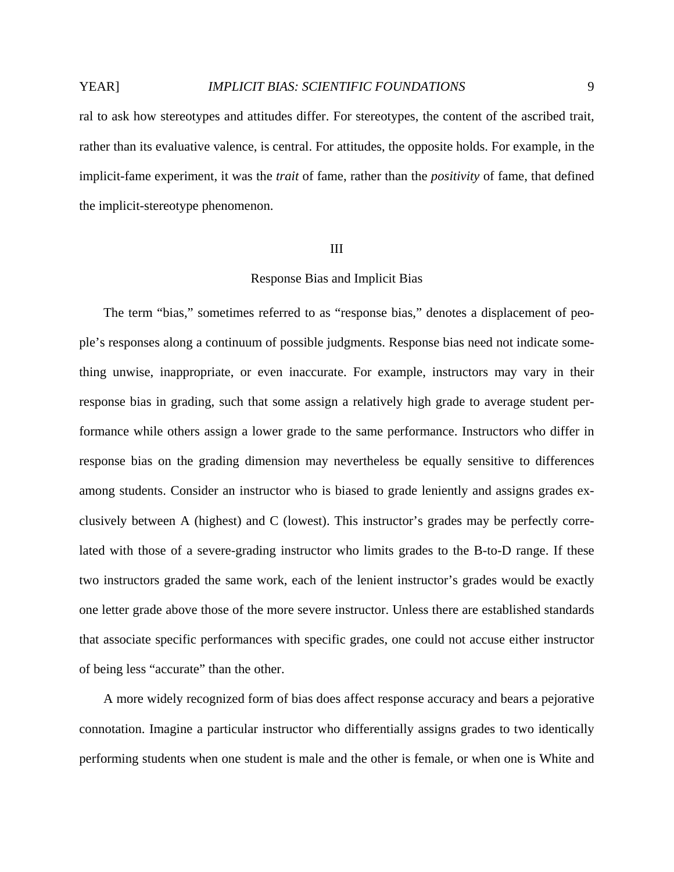ral to ask how stereotypes and attitudes differ. For stereotypes, the content of the ascribed trait, rather than its evaluative valence, is central. For attitudes, the opposite holds. For example, in the implicit-fame experiment, it was the *trait* of fame, rather than the *positivity* of fame, that defined the implicit-stereotype phenomenon.

# III

# Response Bias and Implicit Bias

 The term "bias," sometimes referred to as "response bias," denotes a displacement of people's responses along a continuum of possible judgments. Response bias need not indicate something unwise, inappropriate, or even inaccurate. For example, instructors may vary in their response bias in grading, such that some assign a relatively high grade to average student performance while others assign a lower grade to the same performance. Instructors who differ in response bias on the grading dimension may nevertheless be equally sensitive to differences among students. Consider an instructor who is biased to grade leniently and assigns grades exclusively between A (highest) and C (lowest). This instructor's grades may be perfectly correlated with those of a severe-grading instructor who limits grades to the B-to-D range. If these two instructors graded the same work, each of the lenient instructor's grades would be exactly one letter grade above those of the more severe instructor. Unless there are established standards that associate specific performances with specific grades, one could not accuse either instructor of being less "accurate" than the other.

 A more widely recognized form of bias does affect response accuracy and bears a pejorative connotation. Imagine a particular instructor who differentially assigns grades to two identically performing students when one student is male and the other is female, or when one is White and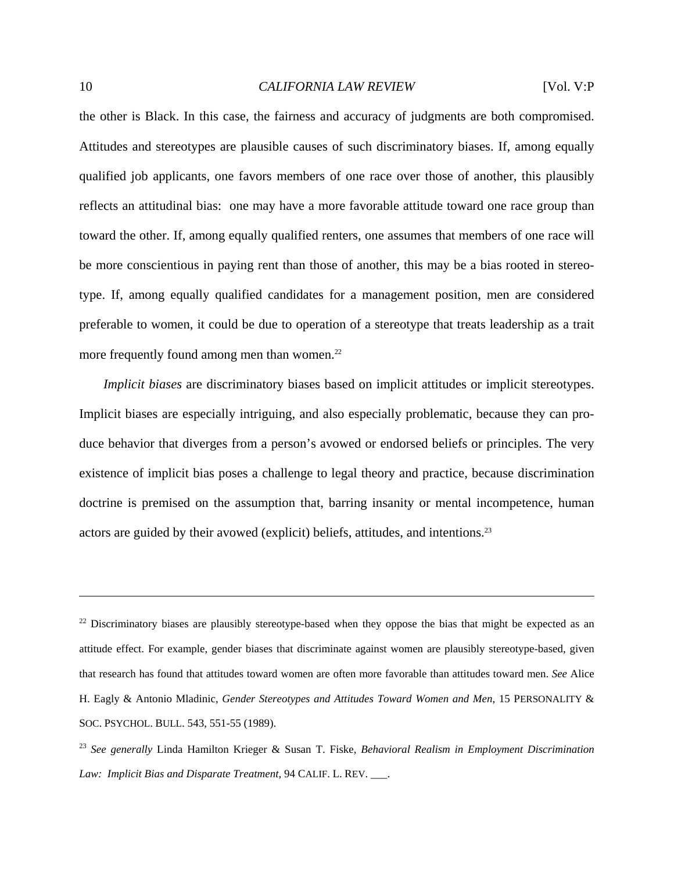the other is Black. In this case, the fairness and accuracy of judgments are both compromised. Attitudes and stereotypes are plausible causes of such discriminatory biases. If, among equally qualified job applicants, one favors members of one race over those of another, this plausibly reflects an attitudinal bias: one may have a more favorable attitude toward one race group than toward the other. If, among equally qualified renters, one assumes that members of one race will be more conscientious in paying rent than those of another, this may be a bias rooted in stereotype. If, among equally qualified candidates for a management position, men are considered preferable to women, it could be due to operation of a stereotype that treats leadership as a trait more frequently found among men than women. $22$ 

*Implicit biases* are discriminatory biases based on implicit attitudes or implicit stereotypes. Implicit biases are especially intriguing, and also especially problematic, because they can produce behavior that diverges from a person's avowed or endorsed beliefs or principles. The very existence of implicit bias poses a challenge to legal theory and practice, because discrimination doctrine is premised on the assumption that, barring insanity or mental incompetence, human actors are guided by their avowed (explicit) beliefs, attitudes, and intentions.23

1

 $22$  Discriminatory biases are plausibly stereotype-based when they oppose the bias that might be expected as an attitude effect. For example, gender biases that discriminate against women are plausibly stereotype-based, given that research has found that attitudes toward women are often more favorable than attitudes toward men. *See* Alice H. Eagly & Antonio Mladinic, *Gender Stereotypes and Attitudes Toward Women and Men*, 15 PERSONALITY & SOC. PSYCHOL. BULL. 543, 551-55 (1989).

<sup>23</sup> *See generally* Linda Hamilton Krieger & Susan T. Fiske, *Behavioral Realism in Employment Discrimination Law: Implicit Bias and Disparate Treatment,* 94 CALIF. L. REV. \_\_\_.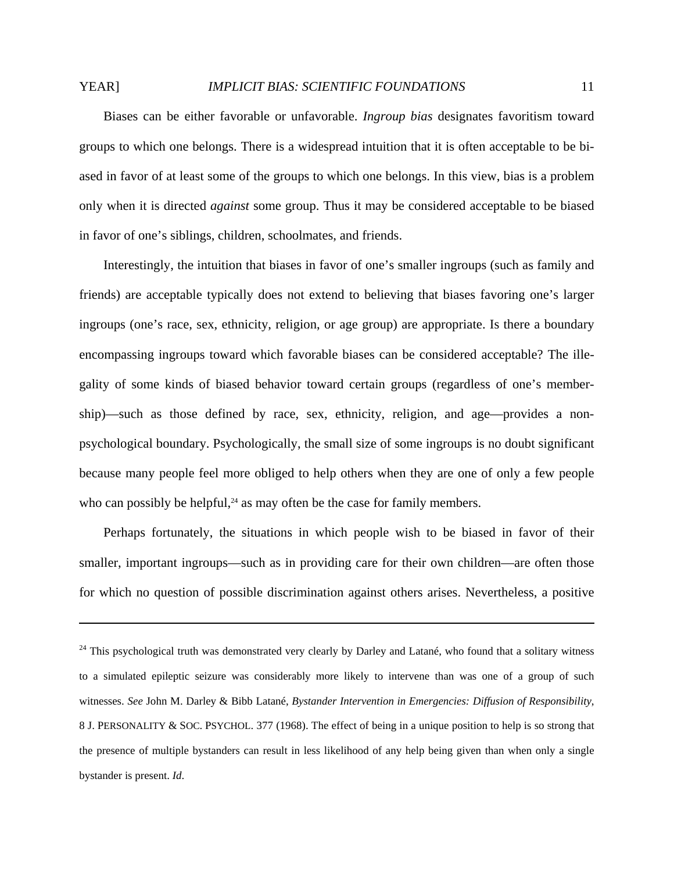# YEAR] *IMPLICIT BIAS: SCIENTIFIC FOUNDATIONS* 11

 Biases can be either favorable or unfavorable. *Ingroup bias* designates favoritism toward groups to which one belongs. There is a widespread intuition that it is often acceptable to be biased in favor of at least some of the groups to which one belongs. In this view, bias is a problem only when it is directed *against* some group. Thus it may be considered acceptable to be biased in favor of one's siblings, children, schoolmates, and friends.

 Interestingly, the intuition that biases in favor of one's smaller ingroups (such as family and friends) are acceptable typically does not extend to believing that biases favoring one's larger ingroups (one's race, sex, ethnicity, religion, or age group) are appropriate. Is there a boundary encompassing ingroups toward which favorable biases can be considered acceptable? The illegality of some kinds of biased behavior toward certain groups (regardless of one's membership)—such as those defined by race, sex, ethnicity, religion, and age—provides a nonpsychological boundary. Psychologically, the small size of some ingroups is no doubt significant because many people feel more obliged to help others when they are one of only a few people who can possibly be helpful, $^{24}$  as may often be the case for family members.

 Perhaps fortunately, the situations in which people wish to be biased in favor of their smaller, important ingroups—such as in providing care for their own children—are often those for which no question of possible discrimination against others arises. Nevertheless, a positive

<u>.</u>

<sup>24</sup> This psychological truth was demonstrated very clearly by Darley and Latané, who found that a solitary witness to a simulated epileptic seizure was considerably more likely to intervene than was one of a group of such witnesses. *See* John M. Darley & Bibb Latané, *Bystander Intervention in Emergencies: Diffusion of Responsibility*, 8 J. PERSONALITY & SOC. PSYCHOL. 377 (1968). The effect of being in a unique position to help is so strong that the presence of multiple bystanders can result in less likelihood of any help being given than when only a single bystander is present. *Id*.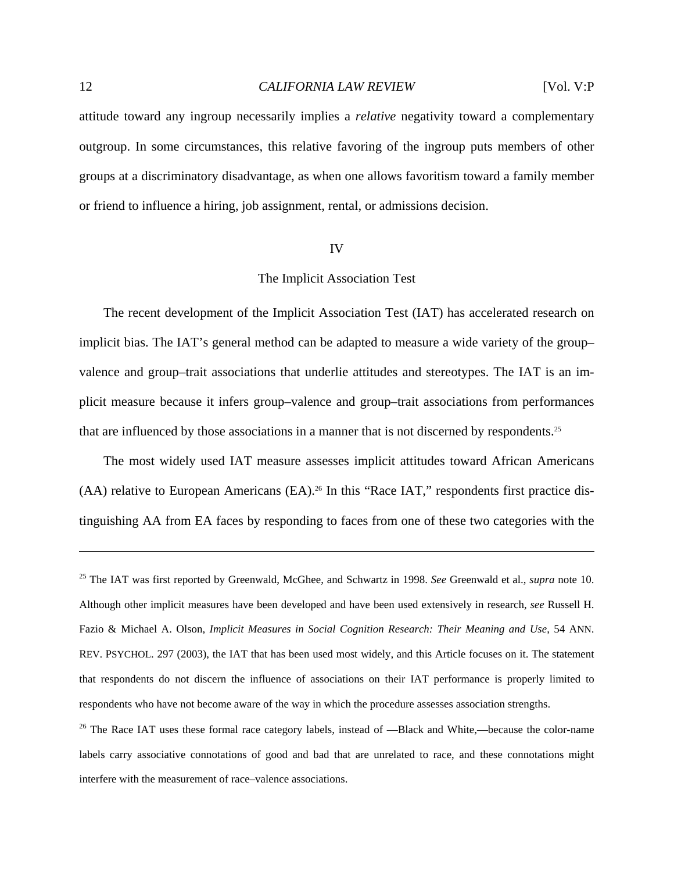attitude toward any ingroup necessarily implies a *relative* negativity toward a complementary outgroup. In some circumstances, this relative favoring of the ingroup puts members of other groups at a discriminatory disadvantage, as when one allows favoritism toward a family member or friend to influence a hiring, job assignment, rental, or admissions decision.

### IV

# The Implicit Association Test

 The recent development of the Implicit Association Test (IAT) has accelerated research on implicit bias. The IAT's general method can be adapted to measure a wide variety of the group– valence and group–trait associations that underlie attitudes and stereotypes. The IAT is an implicit measure because it infers group–valence and group–trait associations from performances that are influenced by those associations in a manner that is not discerned by respondents.25

 The most widely used IAT measure assesses implicit attitudes toward African Americans  $(AA)$  relative to European Americans  $(EA)^{26}$  In this "Race IAT," respondents first practice distinguishing AA from EA faces by responding to faces from one of these two categories with the

<sup>25</sup> The IAT was first reported by Greenwald, McGhee, and Schwartz in 1998. *See* Greenwald et al., *supra* note 10. Although other implicit measures have been developed and have been used extensively in research, *see* Russell H. Fazio & Michael A. Olson, *Implicit Measures in Social Cognition Research: Their Meaning and Use*, 54 ANN. REV. PSYCHOL. 297 (2003), the IAT that has been used most widely, and this Article focuses on it. The statement that respondents do not discern the influence of associations on their IAT performance is properly limited to respondents who have not become aware of the way in which the procedure assesses association strengths.

<sup>&</sup>lt;sup>26</sup> The Race IAT uses these formal race category labels, instead of —Black and White,—because the color-name labels carry associative connotations of good and bad that are unrelated to race, and these connotations might interfere with the measurement of race–valence associations.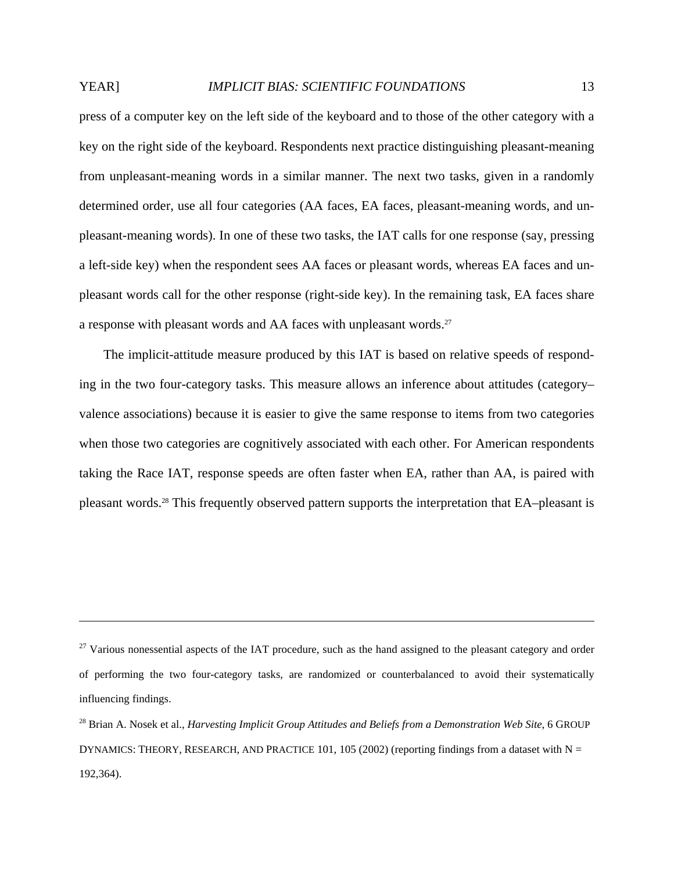press of a computer key on the left side of the keyboard and to those of the other category with a key on the right side of the keyboard. Respondents next practice distinguishing pleasant-meaning from unpleasant-meaning words in a similar manner. The next two tasks, given in a randomly determined order, use all four categories (AA faces, EA faces, pleasant-meaning words, and unpleasant-meaning words). In one of these two tasks, the IAT calls for one response (say, pressing a left-side key) when the respondent sees AA faces or pleasant words, whereas EA faces and unpleasant words call for the other response (right-side key). In the remaining task, EA faces share a response with pleasant words and AA faces with unpleasant words.27

 The implicit-attitude measure produced by this IAT is based on relative speeds of responding in the two four-category tasks. This measure allows an inference about attitudes (category– valence associations) because it is easier to give the same response to items from two categories when those two categories are cognitively associated with each other. For American respondents taking the Race IAT, response speeds are often faster when EA, rather than AA, is paired with pleasant words.28 This frequently observed pattern supports the interpretation that EA–pleasant is

 $27$  Various nonessential aspects of the IAT procedure, such as the hand assigned to the pleasant category and order of performing the two four-category tasks, are randomized or counterbalanced to avoid their systematically influencing findings.

<sup>28</sup> Brian A. Nosek et al., *Harvesting Implicit Group Attitudes and Beliefs from a Demonstration Web Site*, 6 GROUP DYNAMICS: THEORY, RESEARCH, AND PRACTICE 101, 105 (2002) (reporting findings from a dataset with  $N =$ 192,364).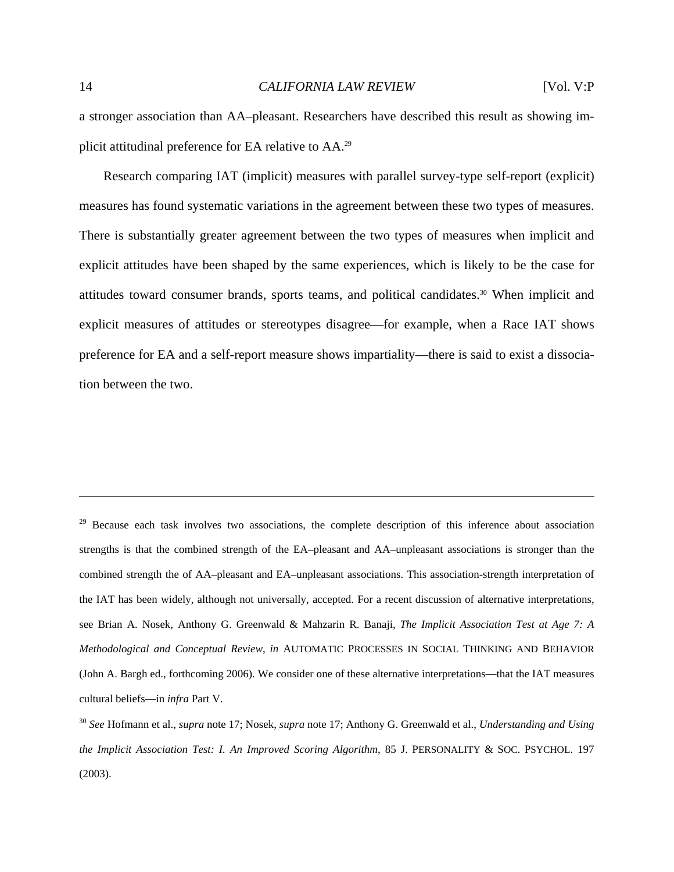a stronger association than AA–pleasant. Researchers have described this result as showing implicit attitudinal preference for EA relative to AA.29

 Research comparing IAT (implicit) measures with parallel survey-type self-report (explicit) measures has found systematic variations in the agreement between these two types of measures. There is substantially greater agreement between the two types of measures when implicit and explicit attitudes have been shaped by the same experiences, which is likely to be the case for attitudes toward consumer brands, sports teams, and political candidates.30 When implicit and explicit measures of attitudes or stereotypes disagree—for example, when a Race IAT shows preference for EA and a self-report measure shows impartiality—there is said to exist a dissociation between the two.

<sup>29</sup> Because each task involves two associations, the complete description of this inference about association strengths is that the combined strength of the EA–pleasant and AA–unpleasant associations is stronger than the combined strength the of AA–pleasant and EA–unpleasant associations. This association-strength interpretation of the IAT has been widely, although not universally, accepted. For a recent discussion of alternative interpretations, see Brian A. Nosek, Anthony G. Greenwald & Mahzarin R. Banaji, *The Implicit Association Test at Age 7: A Methodological and Conceptual Review*, *in* AUTOMATIC PROCESSES IN SOCIAL THINKING AND BEHAVIOR (John A. Bargh ed., forthcoming 2006). We consider one of these alternative interpretations—that the IAT measures cultural beliefs—in *infra* Part V.

<sup>30</sup> *See* Hofmann et al., *supra* note 17; Nosek, *supra* note 17; Anthony G. Greenwald et al., *Understanding and Using the Implicit Association Test: I. An Improved Scoring Algorithm*, 85 J. PERSONALITY & SOC. PSYCHOL. 197 (2003).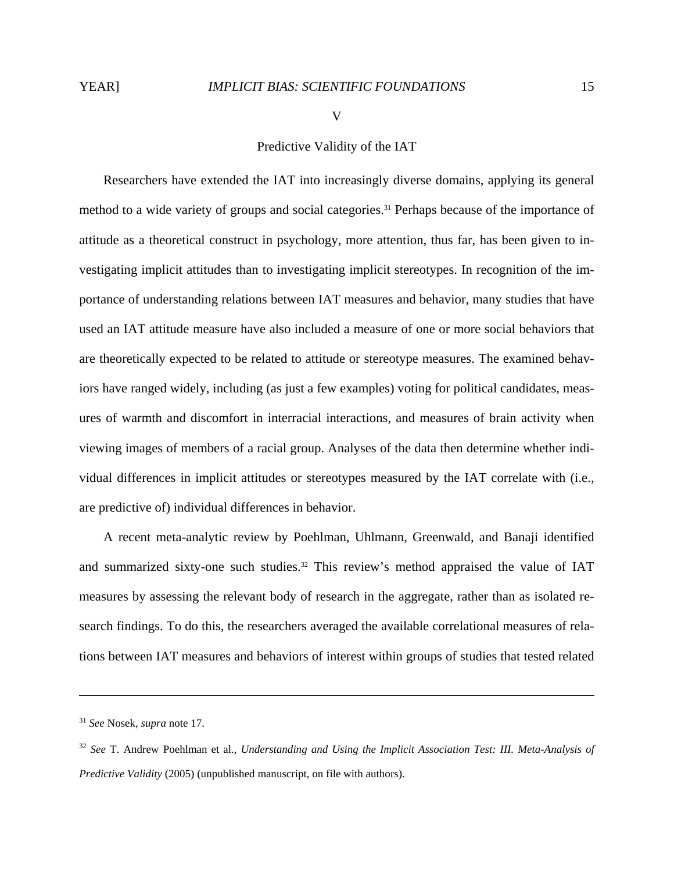V

# Predictive Validity of the IAT

 Researchers have extended the IAT into increasingly diverse domains, applying its general method to a wide variety of groups and social categories.<sup>31</sup> Perhaps because of the importance of attitude as a theoretical construct in psychology, more attention, thus far, has been given to investigating implicit attitudes than to investigating implicit stereotypes. In recognition of the importance of understanding relations between IAT measures and behavior, many studies that have used an IAT attitude measure have also included a measure of one or more social behaviors that are theoretically expected to be related to attitude or stereotype measures. The examined behaviors have ranged widely, including (as just a few examples) voting for political candidates, measures of warmth and discomfort in interracial interactions, and measures of brain activity when viewing images of members of a racial group. Analyses of the data then determine whether individual differences in implicit attitudes or stereotypes measured by the IAT correlate with (i.e., are predictive of) individual differences in behavior.

 A recent meta-analytic review by Poehlman, Uhlmann, Greenwald, and Banaji identified and summarized sixty-one such studies.<sup>32</sup> This review's method appraised the value of IAT measures by assessing the relevant body of research in the aggregate, rather than as isolated research findings. To do this, the researchers averaged the available correlational measures of relations between IAT measures and behaviors of interest within groups of studies that tested related

<sup>31</sup> *See* Nosek, *supra* note 17.

<sup>32</sup> *See* T. Andrew Poehlman et al., *Understanding and Using the Implicit Association Test: III. Meta-Analysis of Predictive Validity* (2005) (unpublished manuscript, on file with authors).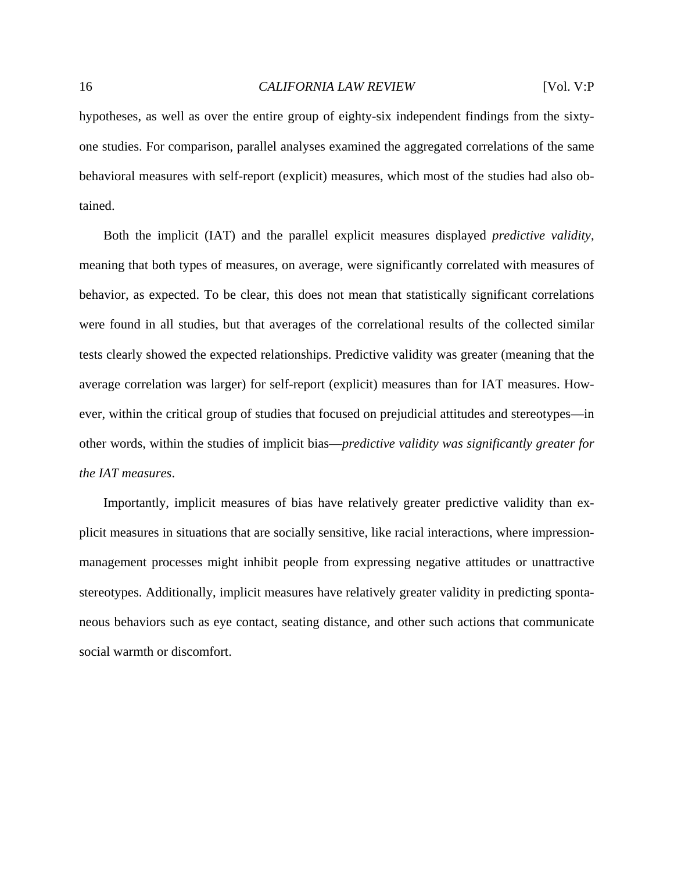hypotheses, as well as over the entire group of eighty-six independent findings from the sixtyone studies. For comparison, parallel analyses examined the aggregated correlations of the same behavioral measures with self-report (explicit) measures, which most of the studies had also obtained.

 Both the implicit (IAT) and the parallel explicit measures displayed *predictive validity*, meaning that both types of measures, on average, were significantly correlated with measures of behavior, as expected. To be clear, this does not mean that statistically significant correlations were found in all studies, but that averages of the correlational results of the collected similar tests clearly showed the expected relationships. Predictive validity was greater (meaning that the average correlation was larger) for self-report (explicit) measures than for IAT measures. However, within the critical group of studies that focused on prejudicial attitudes and stereotypes—in other words, within the studies of implicit bias—*predictive validity was significantly greater for the IAT measures*.

 Importantly, implicit measures of bias have relatively greater predictive validity than explicit measures in situations that are socially sensitive, like racial interactions, where impressionmanagement processes might inhibit people from expressing negative attitudes or unattractive stereotypes. Additionally, implicit measures have relatively greater validity in predicting spontaneous behaviors such as eye contact, seating distance, and other such actions that communicate social warmth or discomfort.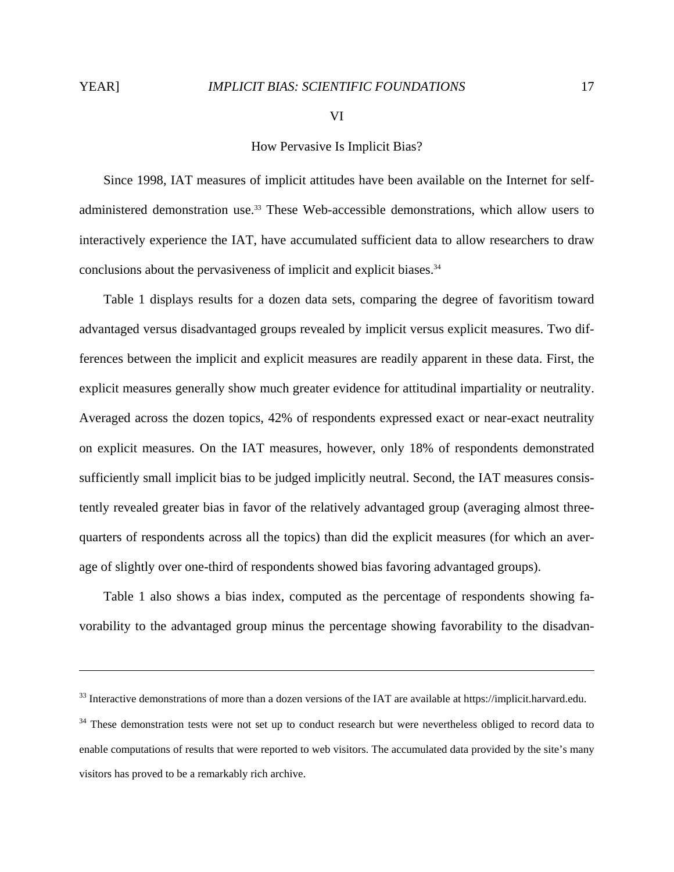$\overline{a}$ 

VI

# How Pervasive Is Implicit Bias?

 Since 1998, IAT measures of implicit attitudes have been available on the Internet for selfadministered demonstration use.<sup>33</sup> These Web-accessible demonstrations, which allow users to interactively experience the IAT, have accumulated sufficient data to allow researchers to draw conclusions about the pervasiveness of implicit and explicit biases.<sup>34</sup>

 Table 1 displays results for a dozen data sets, comparing the degree of favoritism toward advantaged versus disadvantaged groups revealed by implicit versus explicit measures. Two differences between the implicit and explicit measures are readily apparent in these data. First, the explicit measures generally show much greater evidence for attitudinal impartiality or neutrality. Averaged across the dozen topics, 42% of respondents expressed exact or near-exact neutrality on explicit measures. On the IAT measures, however, only 18% of respondents demonstrated sufficiently small implicit bias to be judged implicitly neutral. Second, the IAT measures consistently revealed greater bias in favor of the relatively advantaged group (averaging almost threequarters of respondents across all the topics) than did the explicit measures (for which an average of slightly over one-third of respondents showed bias favoring advantaged groups).

 Table 1 also shows a bias index, computed as the percentage of respondents showing favorability to the advantaged group minus the percentage showing favorability to the disadvan-

<sup>&</sup>lt;sup>33</sup> Interactive demonstrations of more than a dozen versions of the IAT are available at https://implicit.harvard.edu.

<sup>&</sup>lt;sup>34</sup> These demonstration tests were not set up to conduct research but were nevertheless obliged to record data to enable computations of results that were reported to web visitors. The accumulated data provided by the site's many visitors has proved to be a remarkably rich archive.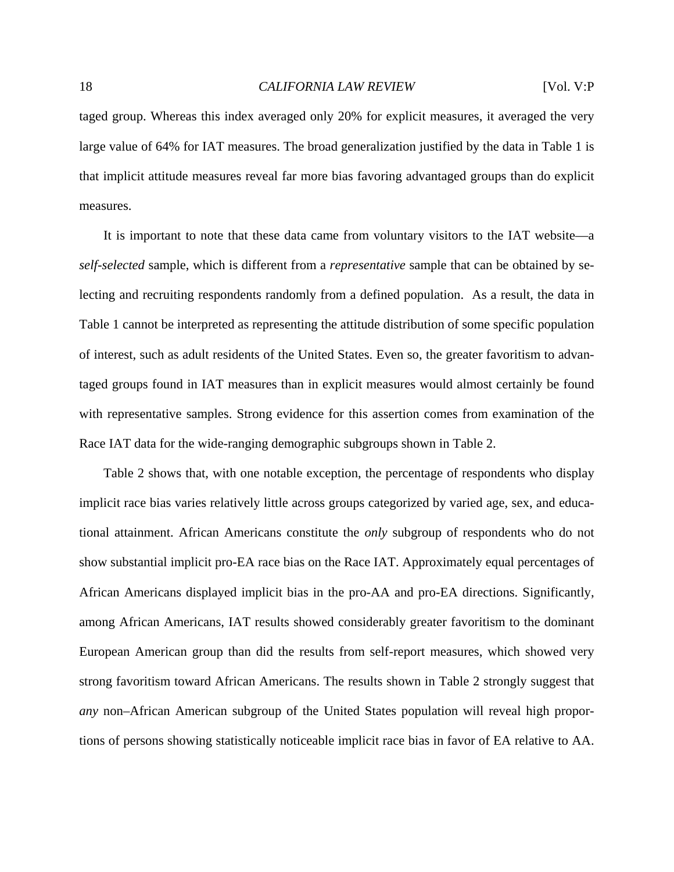taged group. Whereas this index averaged only 20% for explicit measures, it averaged the very large value of 64% for IAT measures. The broad generalization justified by the data in Table 1 is that implicit attitude measures reveal far more bias favoring advantaged groups than do explicit measures.

 It is important to note that these data came from voluntary visitors to the IAT website—a *self-selected* sample, which is different from a *representative* sample that can be obtained by selecting and recruiting respondents randomly from a defined population. As a result, the data in Table 1 cannot be interpreted as representing the attitude distribution of some specific population of interest, such as adult residents of the United States. Even so, the greater favoritism to advantaged groups found in IAT measures than in explicit measures would almost certainly be found with representative samples. Strong evidence for this assertion comes from examination of the Race IAT data for the wide-ranging demographic subgroups shown in Table 2.

 Table 2 shows that, with one notable exception, the percentage of respondents who display implicit race bias varies relatively little across groups categorized by varied age, sex, and educational attainment. African Americans constitute the *only* subgroup of respondents who do not show substantial implicit pro-EA race bias on the Race IAT. Approximately equal percentages of African Americans displayed implicit bias in the pro-AA and pro-EA directions. Significantly, among African Americans, IAT results showed considerably greater favoritism to the dominant European American group than did the results from self-report measures, which showed very strong favoritism toward African Americans. The results shown in Table 2 strongly suggest that *any* non–African American subgroup of the United States population will reveal high proportions of persons showing statistically noticeable implicit race bias in favor of EA relative to AA.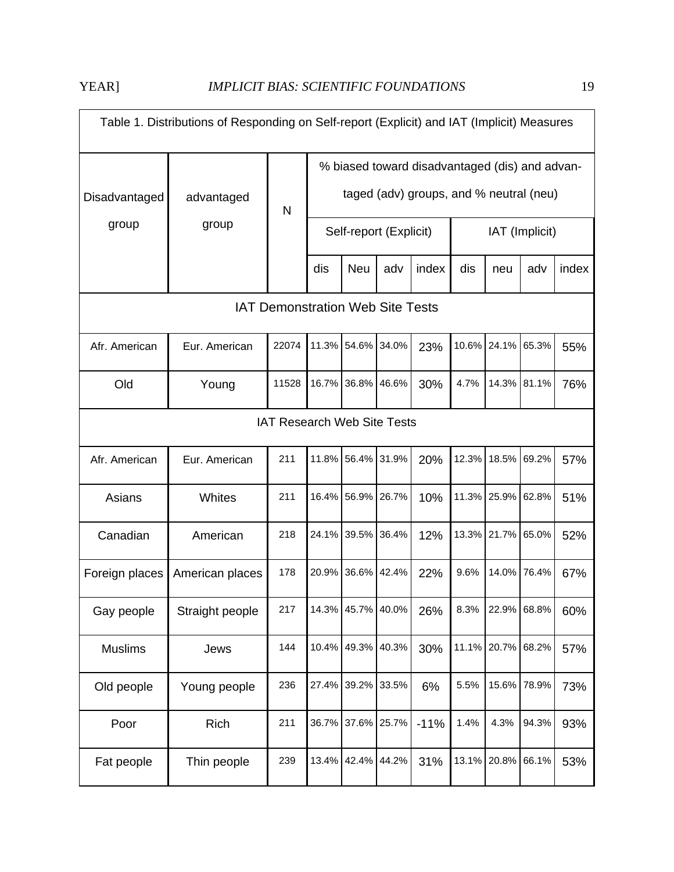| Table 1. Distributions of Responding on Self-report (Explicit) and IAT (Implicit) Measures |                 |       |                                                                                           |                   |                        |        |                |                   |             |       |  |
|--------------------------------------------------------------------------------------------|-----------------|-------|-------------------------------------------------------------------------------------------|-------------------|------------------------|--------|----------------|-------------------|-------------|-------|--|
| Disadvantaged                                                                              | advantaged      | N     | % biased toward disadvantaged (dis) and advan-<br>taged (adv) groups, and % neutral (neu) |                   |                        |        |                |                   |             |       |  |
| group                                                                                      | group           |       |                                                                                           |                   | Self-report (Explicit) |        | IAT (Implicit) |                   |             |       |  |
|                                                                                            |                 |       | dis                                                                                       | <b>Neu</b>        | adv                    | index  | dis            | neu               | adv         | index |  |
| <b>IAT Demonstration Web Site Tests</b>                                                    |                 |       |                                                                                           |                   |                        |        |                |                   |             |       |  |
| Afr. American                                                                              | Eur. American   | 22074 | 11.3%                                                                                     | 54.6%             | 34.0%                  | 23%    |                | 10.6% 24.1%       | 65.3%       | 55%   |  |
| Old                                                                                        | Young           | 11528 | 16.7%                                                                                     | 36.8% 46.6%       |                        | 30%    | 4.7%           |                   | 14.3% 81.1% | 76%   |  |
| <b>IAT Research Web Site Tests</b>                                                         |                 |       |                                                                                           |                   |                        |        |                |                   |             |       |  |
| Afr. American                                                                              | Eur. American   | 211   | 11.8%                                                                                     | 56.4%             | 31.9%                  | 20%    | 12.3%          |                   | 18.5% 69.2% | 57%   |  |
| Asians                                                                                     | Whites          | 211   | 16.4%                                                                                     | 56.9%             | 26.7%                  | 10%    |                | 11.3% 25.9% 62.8% |             | 51%   |  |
| Canadian                                                                                   | American        | 218   | 24.1%                                                                                     | 39.5%             | 36.4%                  | 12%    |                | 13.3% 21.7% 65.0% |             | 52%   |  |
| Foreign places                                                                             | American places | 178   | 20.9%                                                                                     | 36.6%             | 42.4%                  | 22%    | 9.6%           | 14.0%             | 76.4%       | 67%   |  |
| Gay people                                                                                 | Straight people | 217   |                                                                                           | 14.3% 45.7% 40.0% |                        | 26%    | 8.3%           |                   | 22.9% 68.8% | 60%   |  |
| <b>Muslims</b>                                                                             | Jews            | 144   |                                                                                           | 10.4% 49.3%       | 40.3%                  | 30%    |                | 11.1% 20.7% 68.2% |             | 57%   |  |
| Old people                                                                                 | Young people    | 236   | 27.4%                                                                                     | 39.2%             | 33.5%                  | 6%     | 5.5%           | 15.6%             | 78.9%       | 73%   |  |
| Poor                                                                                       | Rich            | 211   | 36.7%                                                                                     | 37.6% 25.7%       |                        | $-11%$ | 1.4%           | 4.3%              | 94.3%       | 93%   |  |
| Fat people                                                                                 | Thin people     | 239   | 13.4%                                                                                     | 42.4%             | 44.2%                  | 31%    |                | 13.1% 20.8%       | 66.1%       | 53%   |  |

 $\overline{\phantom{0}}$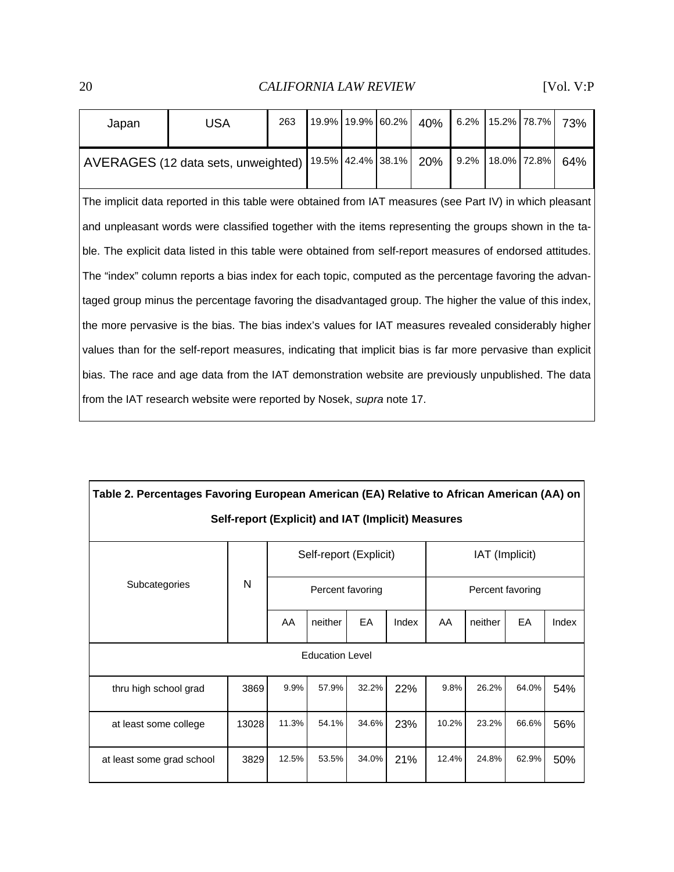| Japan                                                                                                       | <b>USA</b>                          | 263 |  |                   | 19.9% 19.9% 60.2% | 40%  |  | 6.2% 15.2% 78.7% |     | 73% |
|-------------------------------------------------------------------------------------------------------------|-------------------------------------|-----|--|-------------------|-------------------|------|--|------------------|-----|-----|
|                                                                                                             | AVERAGES (12 data sets, unweighted) |     |  | 19.5% 42.4% 38.1% | 20%               | 9.2% |  | 18.0% 72.8%      | 64% |     |
| The implicit data reported in this table were obtained from IAT measures (see Part IV) in which pleasant    |                                     |     |  |                   |                   |      |  |                  |     |     |
| and unpleasant words were classified together with the items representing the groups shown in the ta-       |                                     |     |  |                   |                   |      |  |                  |     |     |
| ble. The explicit data listed in this table were obtained from self-report measures of endorsed attitudes.  |                                     |     |  |                   |                   |      |  |                  |     |     |
| The "index" column reports a bias index for each topic, computed as the percentage favoring the advan-      |                                     |     |  |                   |                   |      |  |                  |     |     |
| taged group minus the percentage favoring the disadvantaged group. The higher the value of this index,      |                                     |     |  |                   |                   |      |  |                  |     |     |
| the more pervasive is the bias. The bias index's values for IAT measures revealed considerably higher       |                                     |     |  |                   |                   |      |  |                  |     |     |
| values than for the self-report measures, indicating that implicit bias is far more pervasive than explicit |                                     |     |  |                   |                   |      |  |                  |     |     |
| bias. The race and age data from the IAT demonstration website are previously unpublished. The data         |                                     |     |  |                   |                   |      |  |                  |     |     |
| from the IAT research website were reported by Nosek, supra note 17.                                        |                                     |     |  |                   |                   |      |  |                  |     |     |

| Table 2. Percentages Favoring European American (EA) Relative to African American (AA) on |       |                        |                  |       |       |                  |         |       |       |  |  |
|-------------------------------------------------------------------------------------------|-------|------------------------|------------------|-------|-------|------------------|---------|-------|-------|--|--|
| Self-report (Explicit) and IAT (Implicit) Measures                                        |       |                        |                  |       |       |                  |         |       |       |  |  |
|                                                                                           | N     | Self-report (Explicit) |                  |       |       | IAT (Implicit)   |         |       |       |  |  |
| Subcategories                                                                             |       |                        | Percent favoring |       |       | Percent favoring |         |       |       |  |  |
|                                                                                           |       | AA                     | neither          | EA    | Index | AA               | neither | EA    | Index |  |  |
| <b>Education Level</b>                                                                    |       |                        |                  |       |       |                  |         |       |       |  |  |
| thru high school grad                                                                     | 3869  | 9.9%                   | 57.9%            | 32.2% | 22%   | 9.8%             | 26.2%   | 64.0% | 54%   |  |  |
| at least some college                                                                     | 13028 | 11.3%                  | 54.1%            | 34.6% | 23%   | 10.2%            | 23.2%   | 66.6% | 56%   |  |  |
| at least some grad school                                                                 | 3829  | 12.5%                  | 53.5%            | 34.0% | 21%   | 12.4%            | 24.8%   | 62.9% | 50%   |  |  |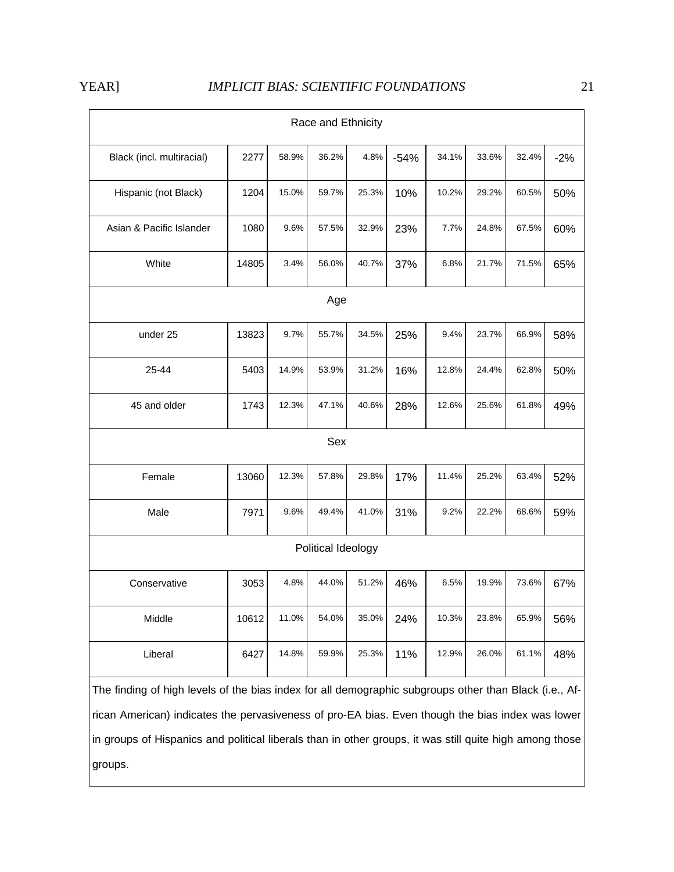| Race and Ethnicity                                                                                      |       |       |       |       |        |       |       |       |       |  |  |
|---------------------------------------------------------------------------------------------------------|-------|-------|-------|-------|--------|-------|-------|-------|-------|--|--|
| Black (incl. multiracial)                                                                               | 2277  | 58.9% | 36.2% | 4.8%  | $-54%$ | 34.1% | 33.6% | 32.4% | $-2%$ |  |  |
| Hispanic (not Black)                                                                                    | 1204  | 15.0% | 59.7% | 25.3% | 10%    | 10.2% | 29.2% | 60.5% | 50%   |  |  |
| Asian & Pacific Islander                                                                                | 1080  | 9.6%  | 57.5% | 32.9% | 23%    | 7.7%  | 24.8% | 67.5% | 60%   |  |  |
| White                                                                                                   | 14805 | 3.4%  | 56.0% | 40.7% | 37%    | 6.8%  | 21.7% | 71.5% | 65%   |  |  |
| Age                                                                                                     |       |       |       |       |        |       |       |       |       |  |  |
| under 25                                                                                                | 13823 | 9.7%  | 55.7% | 34.5% | 25%    | 9.4%  | 23.7% | 66.9% | 58%   |  |  |
| 25-44                                                                                                   | 5403  | 14.9% | 53.9% | 31.2% | 16%    | 12.8% | 24.4% | 62.8% | 50%   |  |  |
| 45 and older                                                                                            | 1743  | 12.3% | 47.1% | 40.6% | 28%    | 12.6% | 25.6% | 61.8% | 49%   |  |  |
| Sex                                                                                                     |       |       |       |       |        |       |       |       |       |  |  |
| Female                                                                                                  | 13060 | 12.3% | 57.8% | 29.8% | 17%    | 11.4% | 25.2% | 63.4% | 52%   |  |  |
| Male                                                                                                    | 7971  | 9.6%  | 49.4% | 41.0% | 31%    | 9.2%  | 22.2% | 68.6% | 59%   |  |  |
| Political Ideology                                                                                      |       |       |       |       |        |       |       |       |       |  |  |
| Conservative                                                                                            | 3053  | 4.8%  | 44.0% | 51.2% | 46%    | 6.5%  | 19.9% | 73.6% | 67%   |  |  |
| Middle                                                                                                  | 10612 | 11.0% | 54.0% | 35.0% | 24%    | 10.3% | 23.8% | 65.9% | 56%   |  |  |
| Liberal                                                                                                 | 6427  | 14.8% | 59.9% | 25.3% | 11%    | 12.9% | 26.0% | 61.1% | 48%   |  |  |
| The finding of high levels of the bias index for all demographic subgroups other than Black (i.e., Af-  |       |       |       |       |        |       |       |       |       |  |  |
| rican American) indicates the pervasiveness of pro-EA bias. Even though the bias index was lower        |       |       |       |       |        |       |       |       |       |  |  |
| in groups of Hispanics and political liberals than in other groups, it was still quite high among those |       |       |       |       |        |       |       |       |       |  |  |
| groups.                                                                                                 |       |       |       |       |        |       |       |       |       |  |  |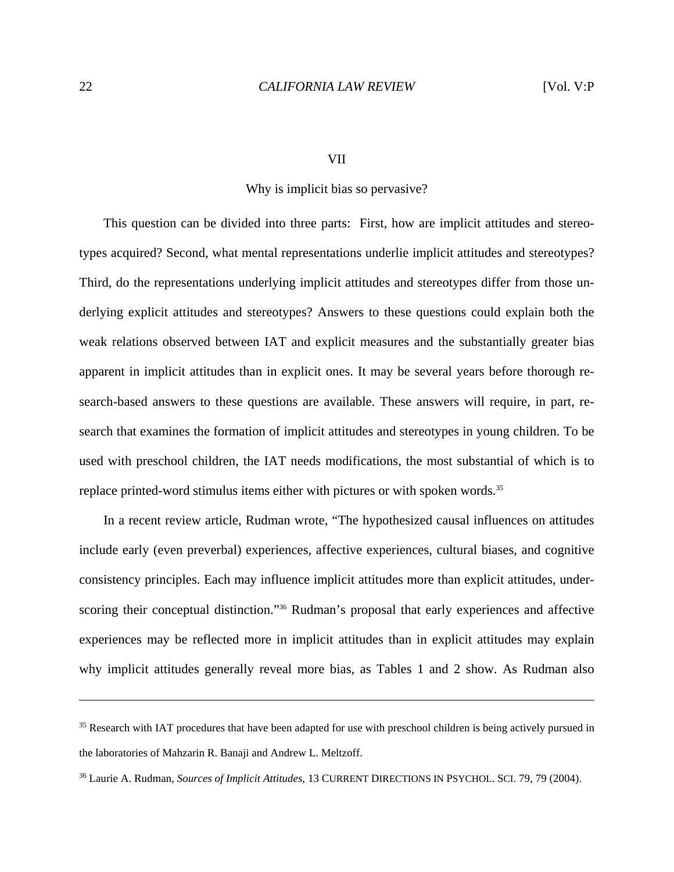#### VII

#### Why is implicit bias so pervasive?

 This question can be divided into three parts: First, how are implicit attitudes and stereotypes acquired? Second, what mental representations underlie implicit attitudes and stereotypes? Third, do the representations underlying implicit attitudes and stereotypes differ from those underlying explicit attitudes and stereotypes? Answers to these questions could explain both the weak relations observed between IAT and explicit measures and the substantially greater bias apparent in implicit attitudes than in explicit ones. It may be several years before thorough research-based answers to these questions are available. These answers will require, in part, research that examines the formation of implicit attitudes and stereotypes in young children. To be used with preschool children, the IAT needs modifications, the most substantial of which is to replace printed-word stimulus items either with pictures or with spoken words.<sup>35</sup>

 In a recent review article, Rudman wrote, "The hypothesized causal influences on attitudes include early (even preverbal) experiences, affective experiences, cultural biases, and cognitive consistency principles. Each may influence implicit attitudes more than explicit attitudes, underscoring their conceptual distinction."<sup>36</sup> Rudman's proposal that early experiences and affective experiences may be reflected more in implicit attitudes than in explicit attitudes may explain why implicit attitudes generally reveal more bias, as Tables 1 and 2 show. As Rudman also

<sup>&</sup>lt;sup>35</sup> Research with IAT procedures that have been adapted for use with preschool children is being actively pursued in the laboratories of Mahzarin R. Banaji and Andrew L. Meltzoff.

<sup>36</sup> Laurie A. Rudman, *Sources of Implicit Attitudes*, 13 CURRENT DIRECTIONS IN PSYCHOL. SCI. 79, 79 (2004).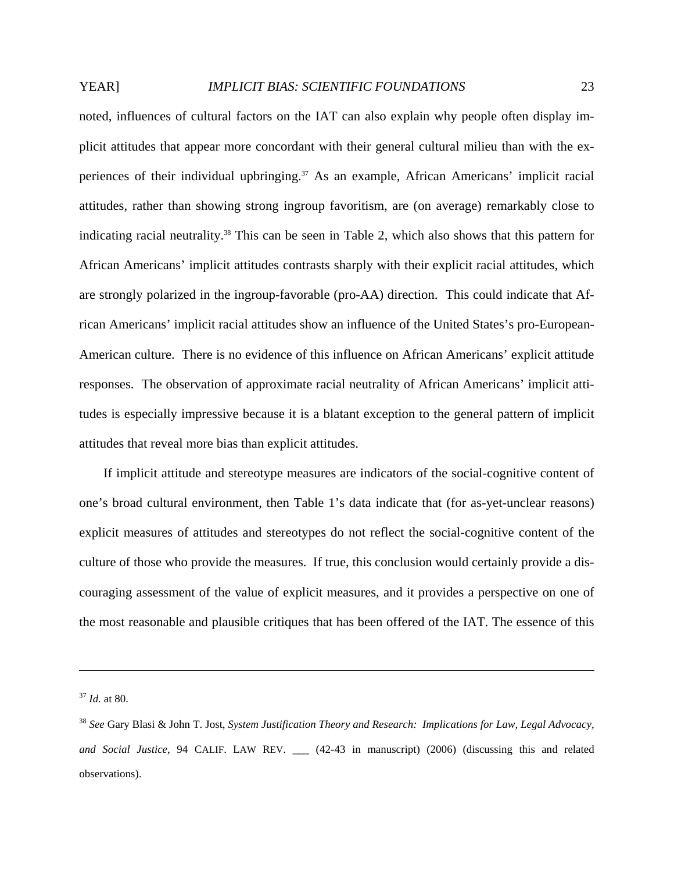noted, influences of cultural factors on the IAT can also explain why people often display implicit attitudes that appear more concordant with their general cultural milieu than with the experiences of their individual upbringing.<sup>37</sup> As an example, African Americans' implicit racial attitudes, rather than showing strong ingroup favoritism, are (on average) remarkably close to indicating racial neutrality.38 This can be seen in Table 2, which also shows that this pattern for African Americans' implicit attitudes contrasts sharply with their explicit racial attitudes, which are strongly polarized in the ingroup-favorable (pro-AA) direction. This could indicate that African Americans' implicit racial attitudes show an influence of the United States's pro-European-American culture. There is no evidence of this influence on African Americans' explicit attitude responses. The observation of approximate racial neutrality of African Americans' implicit attitudes is especially impressive because it is a blatant exception to the general pattern of implicit attitudes that reveal more bias than explicit attitudes.

 If implicit attitude and stereotype measures are indicators of the social-cognitive content of one's broad cultural environment, then Table 1's data indicate that (for as-yet-unclear reasons) explicit measures of attitudes and stereotypes do not reflect the social-cognitive content of the culture of those who provide the measures. If true, this conclusion would certainly provide a discouraging assessment of the value of explicit measures, and it provides a perspective on one of the most reasonable and plausible critiques that has been offered of the IAT. The essence of this

1

<sup>37</sup> *Id.* at 80.

<sup>38</sup> *See* Gary Blasi & John T. Jost, *System Justification Theory and Research: Implications for Law, Legal Advocacy, and Social Justice*, 94 CALIF. LAW REV. \_\_\_ (42-43 in manuscript) (2006) (discussing this and related observations).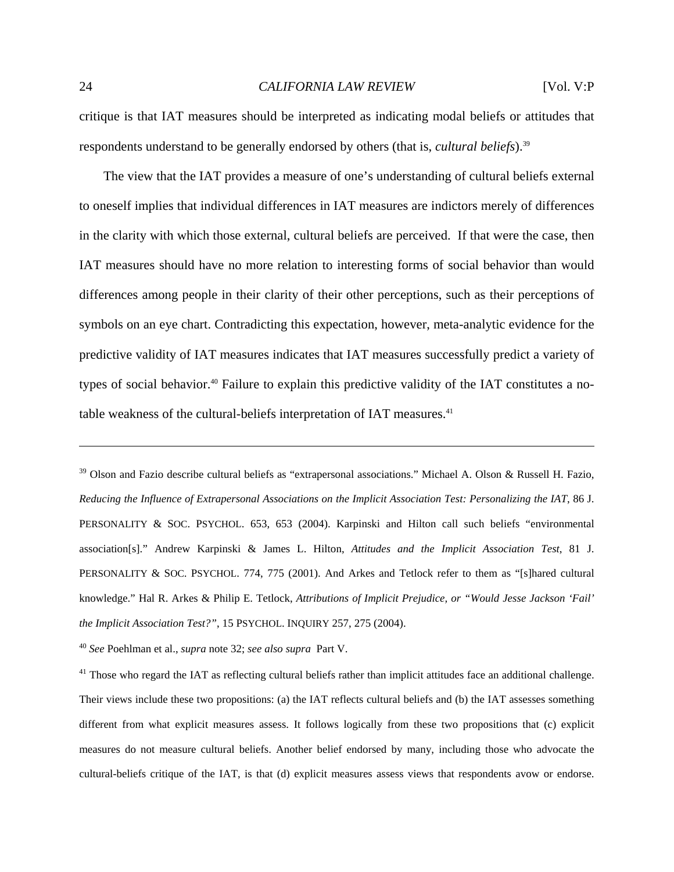critique is that IAT measures should be interpreted as indicating modal beliefs or attitudes that respondents understand to be generally endorsed by others (that is, *cultural beliefs*).39

 The view that the IAT provides a measure of one's understanding of cultural beliefs external to oneself implies that individual differences in IAT measures are indictors merely of differences in the clarity with which those external, cultural beliefs are perceived. If that were the case, then IAT measures should have no more relation to interesting forms of social behavior than would differences among people in their clarity of their other perceptions, such as their perceptions of symbols on an eye chart. Contradicting this expectation, however, meta-analytic evidence for the predictive validity of IAT measures indicates that IAT measures successfully predict a variety of types of social behavior.40 Failure to explain this predictive validity of the IAT constitutes a notable weakness of the cultural-beliefs interpretation of IAT measures.<sup>41</sup>

<sup>39</sup> Olson and Fazio describe cultural beliefs as "extrapersonal associations." Michael A. Olson & Russell H. Fazio, *Reducing the Influence of Extrapersonal Associations on the Implicit Association Test: Personalizing the IAT*, 86 J. PERSONALITY & SOC. PSYCHOL. 653, 653 (2004). Karpinski and Hilton call such beliefs "environmental association[s]." Andrew Karpinski & James L. Hilton, *Attitudes and the Implicit Association Test*, 81 J. PERSONALITY & SOC. PSYCHOL. 774, 775 (2001). And Arkes and Tetlock refer to them as "[s]hared cultural knowledge." Hal R. Arkes & Philip E. Tetlock, *Attributions of Implicit Prejudice, or "Would Jesse Jackson 'Fail' the Implicit Association Test?"*, 15 PSYCHOL. INQUIRY 257, 275 (2004).

<sup>40</sup> *See* Poehlman et al., *supra* note 32; *see also supra* Part V.

 $41$  Those who regard the IAT as reflecting cultural beliefs rather than implicit attitudes face an additional challenge. Their views include these two propositions: (a) the IAT reflects cultural beliefs and (b) the IAT assesses something different from what explicit measures assess. It follows logically from these two propositions that (c) explicit measures do not measure cultural beliefs. Another belief endorsed by many, including those who advocate the cultural-beliefs critique of the IAT, is that (d) explicit measures assess views that respondents avow or endorse.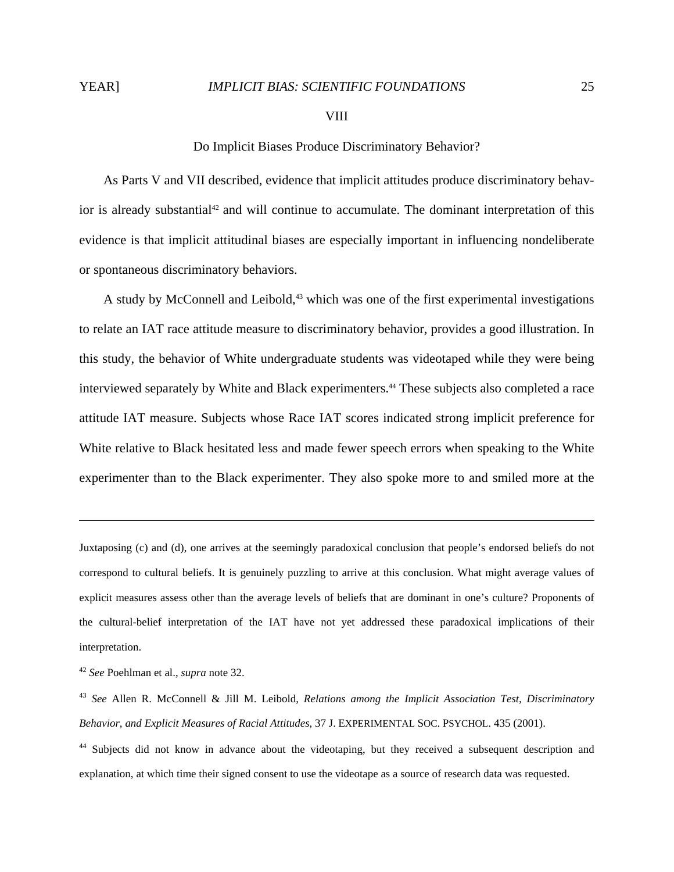$\overline{a}$ 

# Do Implicit Biases Produce Discriminatory Behavior?

 As Parts V and VII described, evidence that implicit attitudes produce discriminatory behavior is already substantial<sup>42</sup> and will continue to accumulate. The dominant interpretation of this evidence is that implicit attitudinal biases are especially important in influencing nondeliberate or spontaneous discriminatory behaviors.

A study by McConnell and Leibold,<sup>43</sup> which was one of the first experimental investigations to relate an IAT race attitude measure to discriminatory behavior, provides a good illustration. In this study, the behavior of White undergraduate students was videotaped while they were being interviewed separately by White and Black experimenters.<sup>44</sup> These subjects also completed a race attitude IAT measure. Subjects whose Race IAT scores indicated strong implicit preference for White relative to Black hesitated less and made fewer speech errors when speaking to the White experimenter than to the Black experimenter. They also spoke more to and smiled more at the

Juxtaposing (c) and (d), one arrives at the seemingly paradoxical conclusion that people's endorsed beliefs do not correspond to cultural beliefs. It is genuinely puzzling to arrive at this conclusion. What might average values of explicit measures assess other than the average levels of beliefs that are dominant in one's culture? Proponents of the cultural-belief interpretation of the IAT have not yet addressed these paradoxical implications of their interpretation.

<sup>42</sup> *See* Poehlman et al., *supra* note 32.

<sup>43</sup> *See* Allen R. McConnell & Jill M. Leibold, *Relations among the Implicit Association Test, Discriminatory Behavior, and Explicit Measures of Racial Attitudes*, 37 J. EXPERIMENTAL SOC. PSYCHOL. 435 (2001).

<sup>&</sup>lt;sup>44</sup> Subjects did not know in advance about the videotaping, but they received a subsequent description and explanation, at which time their signed consent to use the videotape as a source of research data was requested.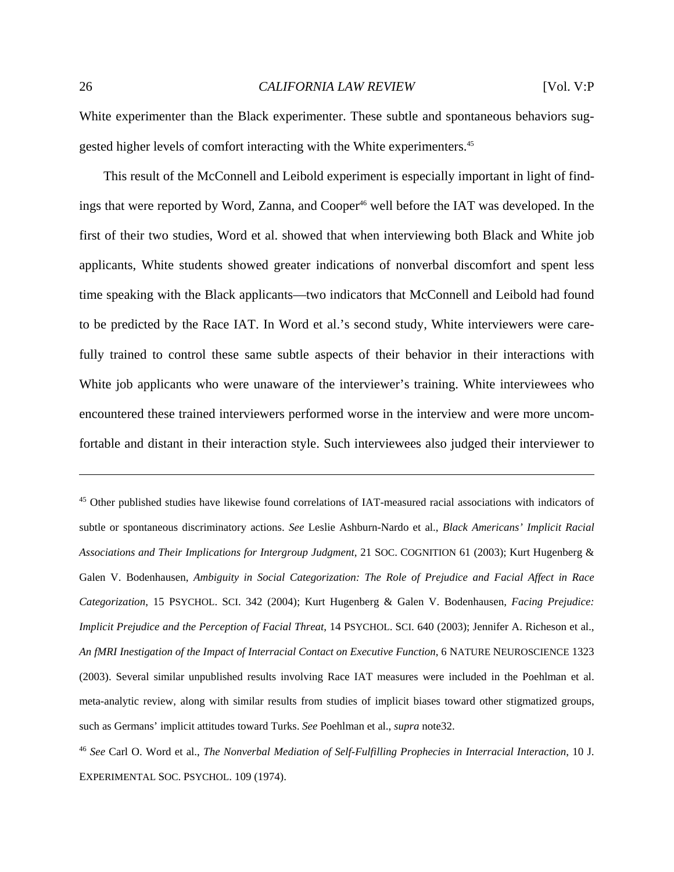White experimenter than the Black experimenter. These subtle and spontaneous behaviors suggested higher levels of comfort interacting with the White experimenters.<sup>45</sup>

 This result of the McConnell and Leibold experiment is especially important in light of findings that were reported by Word, Zanna, and Cooper<sup>46</sup> well before the IAT was developed. In the first of their two studies, Word et al. showed that when interviewing both Black and White job applicants, White students showed greater indications of nonverbal discomfort and spent less time speaking with the Black applicants—two indicators that McConnell and Leibold had found to be predicted by the Race IAT. In Word et al.'s second study, White interviewers were carefully trained to control these same subtle aspects of their behavior in their interactions with White job applicants who were unaware of the interviewer's training. White interviewees who encountered these trained interviewers performed worse in the interview and were more uncomfortable and distant in their interaction style. Such interviewees also judged their interviewer to

45 Other published studies have likewise found correlations of IAT-measured racial associations with indicators of subtle or spontaneous discriminatory actions. *See* Leslie Ashburn-Nardo et al., *Black Americans' Implicit Racial Associations and Their Implications for Intergroup Judgment*, 21 SOC. COGNITION 61 (2003); Kurt Hugenberg & Galen V. Bodenhausen, *Ambiguity in Social Categorization: The Role of Prejudice and Facial Affect in Race Categorization*, 15 PSYCHOL. SCI. 342 (2004); Kurt Hugenberg & Galen V. Bodenhausen, *Facing Prejudice: Implicit Prejudice and the Perception of Facial Threat*, 14 PSYCHOL. SCI. 640 (2003); Jennifer A. Richeson et al., *An fMRI Inestigation of the Impact of Interracial Contact on Executive Function*, 6 NATURE NEUROSCIENCE 1323 (2003). Several similar unpublished results involving Race IAT measures were included in the Poehlman et al. meta-analytic review, along with similar results from studies of implicit biases toward other stigmatized groups, such as Germans' implicit attitudes toward Turks. *See* Poehlman et al., *supra* note32.

<sup>46</sup> *See* Carl O. Word et al., *The Nonverbal Mediation of Self-Fulfilling Prophecies in Interracial Interaction*, 10 J. EXPERIMENTAL SOC. PSYCHOL. 109 (1974).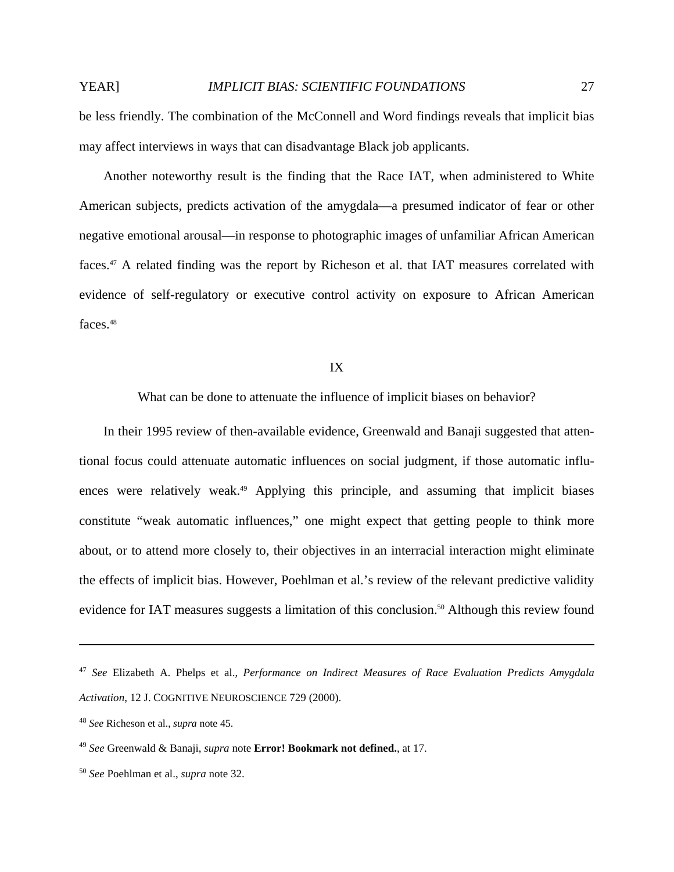be less friendly. The combination of the McConnell and Word findings reveals that implicit bias may affect interviews in ways that can disadvantage Black job applicants.

 Another noteworthy result is the finding that the Race IAT, when administered to White American subjects, predicts activation of the amygdala—a presumed indicator of fear or other negative emotional arousal—in response to photographic images of unfamiliar African American faces.<sup>47</sup> A related finding was the report by Richeson et al. that IAT measures correlated with evidence of self-regulatory or executive control activity on exposure to African American faces.<sup>48</sup>

#### IX

What can be done to attenuate the influence of implicit biases on behavior?

 In their 1995 review of then-available evidence, Greenwald and Banaji suggested that attentional focus could attenuate automatic influences on social judgment, if those automatic influences were relatively weak.<sup>49</sup> Applying this principle, and assuming that implicit biases constitute "weak automatic influences," one might expect that getting people to think more about, or to attend more closely to, their objectives in an interracial interaction might eliminate the effects of implicit bias. However, Poehlman et al.'s review of the relevant predictive validity evidence for IAT measures suggests a limitation of this conclusion.<sup>50</sup> Although this review found

<sup>47</sup> *See* Elizabeth A. Phelps et al., *Performance on Indirect Measures of Race Evaluation Predicts Amygdala Activation*, 12 J. COGNITIVE NEUROSCIENCE 729 (2000).

<sup>48</sup> *See* Richeson et al., *supra* note 45.

<sup>49</sup> *See* Greenwald & Banaji, *supra* note **Error! Bookmark not defined.**, at 17.

<sup>50</sup> *See* Poehlman et al., *supra* note 32.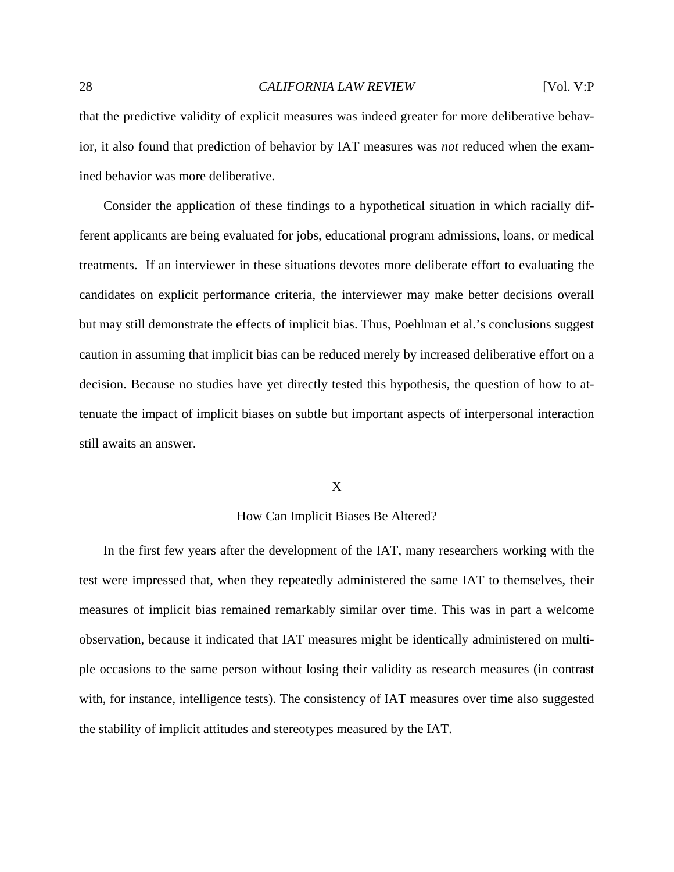that the predictive validity of explicit measures was indeed greater for more deliberative behavior, it also found that prediction of behavior by IAT measures was *not* reduced when the examined behavior was more deliberative.

 Consider the application of these findings to a hypothetical situation in which racially different applicants are being evaluated for jobs, educational program admissions, loans, or medical treatments. If an interviewer in these situations devotes more deliberate effort to evaluating the candidates on explicit performance criteria, the interviewer may make better decisions overall but may still demonstrate the effects of implicit bias. Thus, Poehlman et al.'s conclusions suggest caution in assuming that implicit bias can be reduced merely by increased deliberative effort on a decision. Because no studies have yet directly tested this hypothesis, the question of how to attenuate the impact of implicit biases on subtle but important aspects of interpersonal interaction still awaits an answer.

# X

# How Can Implicit Biases Be Altered?

 In the first few years after the development of the IAT, many researchers working with the test were impressed that, when they repeatedly administered the same IAT to themselves, their measures of implicit bias remained remarkably similar over time. This was in part a welcome observation, because it indicated that IAT measures might be identically administered on multiple occasions to the same person without losing their validity as research measures (in contrast with, for instance, intelligence tests). The consistency of IAT measures over time also suggested the stability of implicit attitudes and stereotypes measured by the IAT.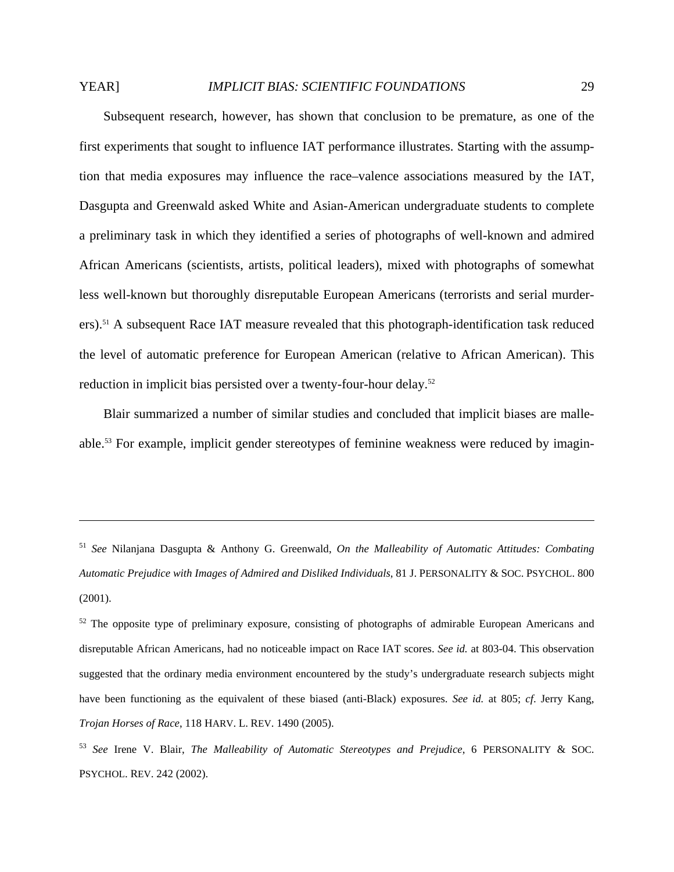# YEAR] *IMPLICIT BIAS: SCIENTIFIC FOUNDATIONS* 29

 Subsequent research, however, has shown that conclusion to be premature, as one of the first experiments that sought to influence IAT performance illustrates. Starting with the assumption that media exposures may influence the race–valence associations measured by the IAT, Dasgupta and Greenwald asked White and Asian-American undergraduate students to complete a preliminary task in which they identified a series of photographs of well-known and admired African Americans (scientists, artists, political leaders), mixed with photographs of somewhat less well-known but thoroughly disreputable European Americans (terrorists and serial murderers).51 A subsequent Race IAT measure revealed that this photograph-identification task reduced the level of automatic preference for European American (relative to African American). This reduction in implicit bias persisted over a twenty-four-hour delay.<sup>52</sup>

 Blair summarized a number of similar studies and concluded that implicit biases are malleable.53 For example, implicit gender stereotypes of feminine weakness were reduced by imagin-

<sup>51</sup> *See* Nilanjana Dasgupta & Anthony G. Greenwald, *On the Malleability of Automatic Attitudes: Combating Automatic Prejudice with Images of Admired and Disliked Individuals*, 81 J. PERSONALITY & SOC. PSYCHOL. 800 (2001).

 $52$  The opposite type of preliminary exposure, consisting of photographs of admirable European Americans and disreputable African Americans, had no noticeable impact on Race IAT scores. *See id.* at 803-04. This observation suggested that the ordinary media environment encountered by the study's undergraduate research subjects might have been functioning as the equivalent of these biased (anti-Black) exposures. *See id.* at 805; *cf*. Jerry Kang, *Trojan Horses of Race*, 118 HARV. L. REV. 1490 (2005).

<sup>53</sup> *See* Irene V. Blair, *The Malleability of Automatic Stereotypes and Prejudice*, 6 PERSONALITY & SOC. PSYCHOL. REV. 242 (2002).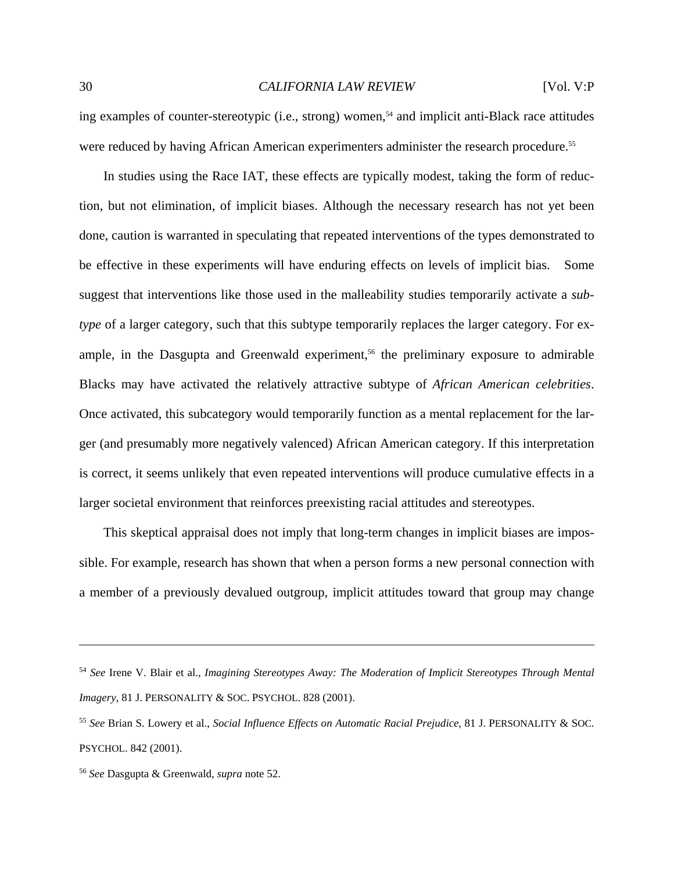ing examples of counter-stereotypic (i.e., strong) women,<sup>54</sup> and implicit anti-Black race attitudes were reduced by having African American experimenters administer the research procedure.<sup>55</sup>

 In studies using the Race IAT, these effects are typically modest, taking the form of reduction, but not elimination, of implicit biases. Although the necessary research has not yet been done, caution is warranted in speculating that repeated interventions of the types demonstrated to be effective in these experiments will have enduring effects on levels of implicit bias. Some suggest that interventions like those used in the malleability studies temporarily activate a *subtype* of a larger category, such that this subtype temporarily replaces the larger category. For example, in the Dasgupta and Greenwald experiment,<sup>56</sup> the preliminary exposure to admirable Blacks may have activated the relatively attractive subtype of *African American celebrities*. Once activated, this subcategory would temporarily function as a mental replacement for the larger (and presumably more negatively valenced) African American category. If this interpretation is correct, it seems unlikely that even repeated interventions will produce cumulative effects in a larger societal environment that reinforces preexisting racial attitudes and stereotypes.

 This skeptical appraisal does not imply that long-term changes in implicit biases are impossible. For example, research has shown that when a person forms a new personal connection with a member of a previously devalued outgroup, implicit attitudes toward that group may change

<sup>54</sup> *See* Irene V. Blair et al., *Imagining Stereotypes Away: The Moderation of Implicit Stereotypes Through Mental Imagery*, 81 J. PERSONALITY & SOC. PSYCHOL. 828 (2001).

<sup>55</sup> *See* Brian S. Lowery et al., *Social Influence Effects on Automatic Racial Prejudice*, 81 J. PERSONALITY & SOC. PSYCHOL. 842 (2001).

<sup>56</sup> *See* Dasgupta & Greenwald, *supra* note 52.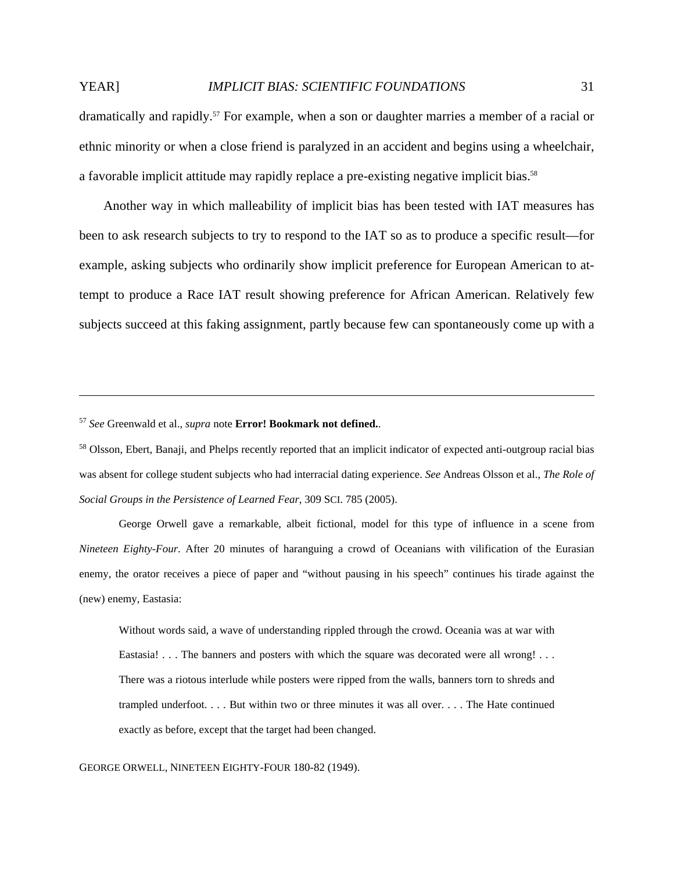# YEAR] *IMPLICIT BIAS: SCIENTIFIC FOUNDATIONS* 31

dramatically and rapidly.57 For example, when a son or daughter marries a member of a racial or

ethnic minority or when a close friend is paralyzed in an accident and begins using a wheelchair, a favorable implicit attitude may rapidly replace a pre-existing negative implicit bias.<sup>58</sup>

 Another way in which malleability of implicit bias has been tested with IAT measures has been to ask research subjects to try to respond to the IAT so as to produce a specific result—for example, asking subjects who ordinarily show implicit preference for European American to attempt to produce a Race IAT result showing preference for African American. Relatively few subjects succeed at this faking assignment, partly because few can spontaneously come up with a

<sup>57</sup> *See* Greenwald et al., *supra* note **Error! Bookmark not defined.**.

<u>.</u>

 George Orwell gave a remarkable, albeit fictional, model for this type of influence in a scene from *Nineteen Eighty-Four*. After 20 minutes of haranguing a crowd of Oceanians with vilification of the Eurasian enemy, the orator receives a piece of paper and "without pausing in his speech" continues his tirade against the (new) enemy, Eastasia:

Without words said, a wave of understanding rippled through the crowd. Oceania was at war with Eastasia! . . . The banners and posters with which the square was decorated were all wrong! . . . There was a riotous interlude while posters were ripped from the walls, banners torn to shreds and trampled underfoot. . . . But within two or three minutes it was all over. . . . The Hate continued exactly as before, except that the target had been changed.

GEORGE ORWELL, NINETEEN EIGHTY-FOUR 180-82 (1949).

<sup>&</sup>lt;sup>58</sup> Olsson, Ebert, Banaji, and Phelps recently reported that an implicit indicator of expected anti-outgroup racial bias was absent for college student subjects who had interracial dating experience. *See* Andreas Olsson et al., *The Role of Social Groups in the Persistence of Learned Fear*, 309 SCI. 785 (2005).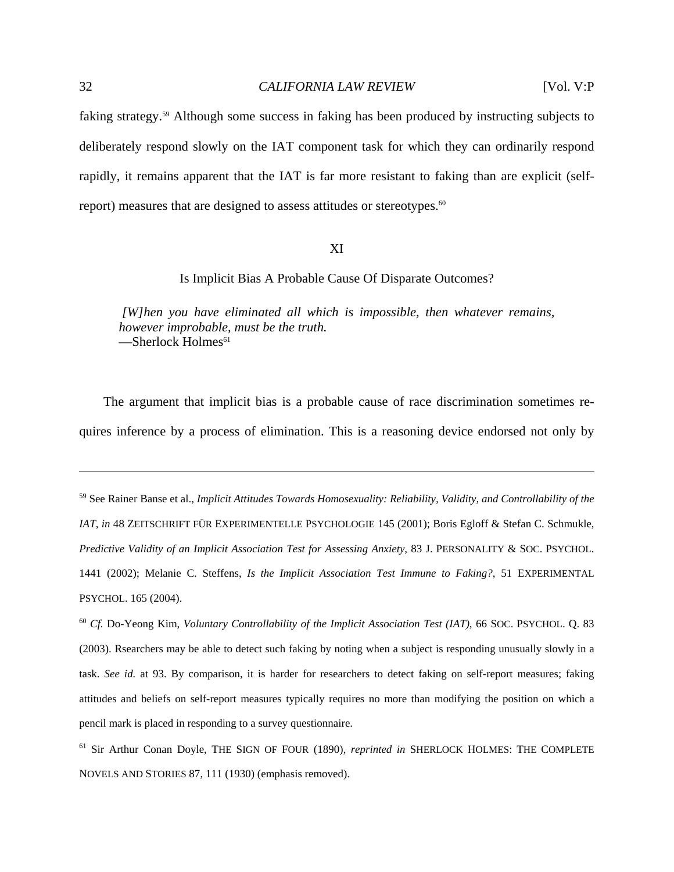faking strategy.59 Although some success in faking has been produced by instructing subjects to deliberately respond slowly on the IAT component task for which they can ordinarily respond rapidly, it remains apparent that the IAT is far more resistant to faking than are explicit (selfreport) measures that are designed to assess attitudes or stereotypes.<sup>60</sup>

# XI

Is Implicit Bias A Probable Cause Of Disparate Outcomes?

 *[W]hen you have eliminated all which is impossible, then whatever remains, however improbable, must be the truth.*  $-$ Sherlock Holmes<sup>61</sup>

 The argument that implicit bias is a probable cause of race discrimination sometimes requires inference by a process of elimination. This is a reasoning device endorsed not only by

59 See Rainer Banse et al., *Implicit Attitudes Towards Homosexuality: Reliability, Validity, and Controllability of the IAT*, *in* 48 ZEITSCHRIFT FÜR EXPERIMENTELLE PSYCHOLOGIE 145 (2001); Boris Egloff & Stefan C. Schmukle, *Predictive Validity of an Implicit Association Test for Assessing Anxiety*, 83 J. PERSONALITY & SOC. PSYCHOL. 1441 (2002); Melanie C. Steffens, *Is the Implicit Association Test Immune to Faking?*, 51 EXPERIMENTAL PSYCHOL. 165 (2004).

<sup>60</sup> *Cf.* Do-Yeong Kim, *Voluntary Controllability of the Implicit Association Test (IAT)*, 66 SOC. PSYCHOL. Q. 83 (2003). Rsearchers may be able to detect such faking by noting when a subject is responding unusually slowly in a task. *See id.* at 93. By comparison, it is harder for researchers to detect faking on self-report measures; faking attitudes and beliefs on self-report measures typically requires no more than modifying the position on which a pencil mark is placed in responding to a survey questionnaire.

<sup>61</sup> Sir Arthur Conan Doyle, THE SIGN OF FOUR (1890), *reprinted in* SHERLOCK HOLMES: THE COMPLETE NOVELS AND STORIES 87, 111 (1930) (emphasis removed).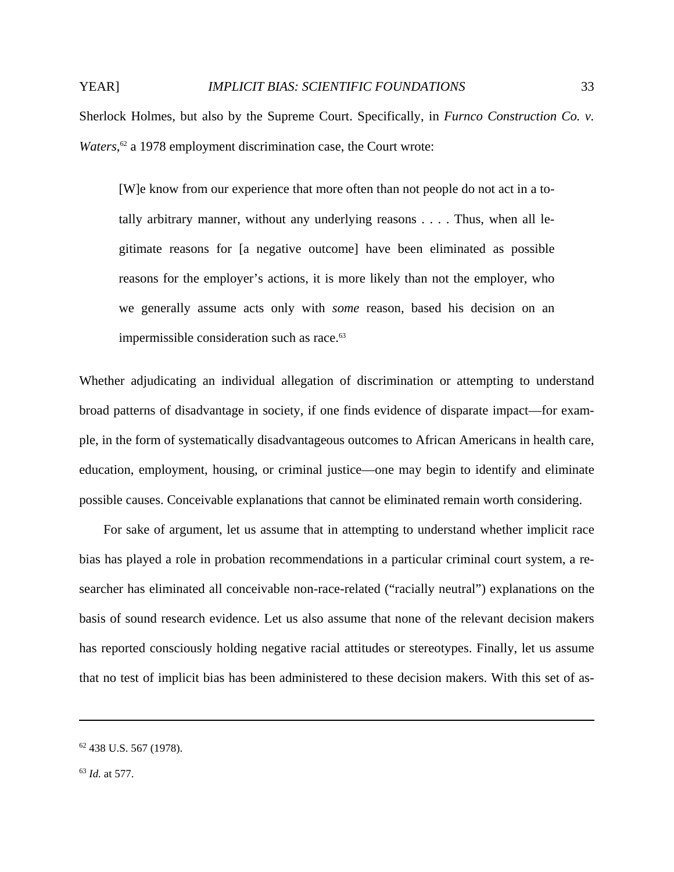Sherlock Holmes, but also by the Supreme Court. Specifically, in *Furnco Construction Co. v.*  Waters,<sup>62</sup> a 1978 employment discrimination case, the Court wrote:

[W]e know from our experience that more often than not people do not act in a totally arbitrary manner, without any underlying reasons . . . . Thus, when all legitimate reasons for [a negative outcome] have been eliminated as possible reasons for the employer's actions, it is more likely than not the employer, who we generally assume acts only with *some* reason, based his decision on an impermissible consideration such as race.<sup>63</sup>

Whether adjudicating an individual allegation of discrimination or attempting to understand broad patterns of disadvantage in society, if one finds evidence of disparate impact—for example, in the form of systematically disadvantageous outcomes to African Americans in health care, education, employment, housing, or criminal justice—one may begin to identify and eliminate possible causes. Conceivable explanations that cannot be eliminated remain worth considering.

 For sake of argument, let us assume that in attempting to understand whether implicit race bias has played a role in probation recommendations in a particular criminal court system, a researcher has eliminated all conceivable non-race-related ("racially neutral") explanations on the basis of sound research evidence. Let us also assume that none of the relevant decision makers has reported consciously holding negative racial attitudes or stereotypes. Finally, let us assume that no test of implicit bias has been administered to these decision makers. With this set of as-

<sup>62 438</sup> U.S. 567 (1978).

<sup>63</sup> *Id.* at 577.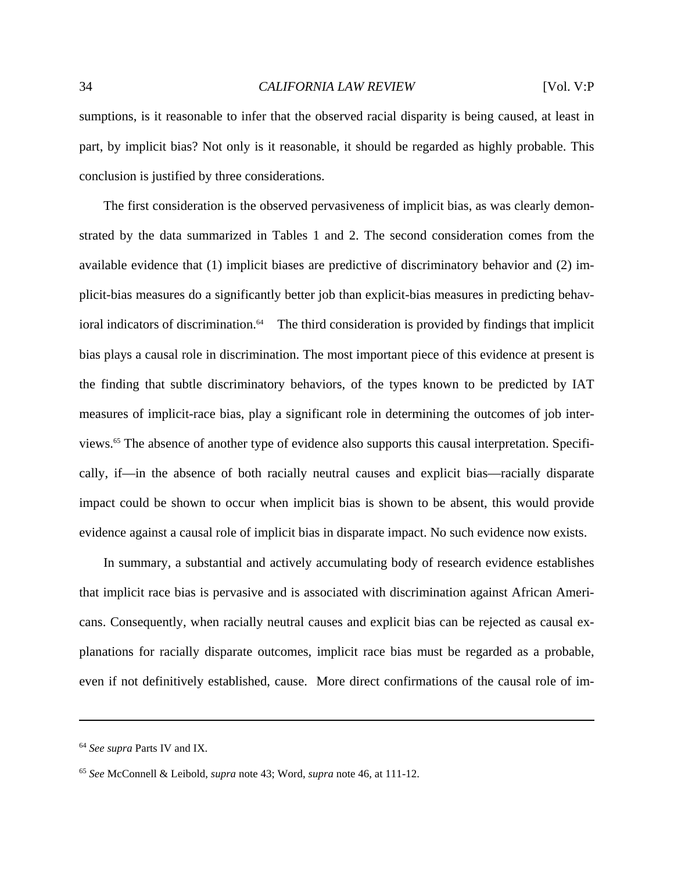sumptions, is it reasonable to infer that the observed racial disparity is being caused, at least in part, by implicit bias? Not only is it reasonable, it should be regarded as highly probable. This conclusion is justified by three considerations.

 The first consideration is the observed pervasiveness of implicit bias, as was clearly demonstrated by the data summarized in Tables 1 and 2. The second consideration comes from the available evidence that (1) implicit biases are predictive of discriminatory behavior and (2) implicit-bias measures do a significantly better job than explicit-bias measures in predicting behavioral indicators of discrimination. $64$  The third consideration is provided by findings that implicit bias plays a causal role in discrimination. The most important piece of this evidence at present is the finding that subtle discriminatory behaviors, of the types known to be predicted by IAT measures of implicit-race bias, play a significant role in determining the outcomes of job interviews.65 The absence of another type of evidence also supports this causal interpretation. Specifically, if—in the absence of both racially neutral causes and explicit bias—racially disparate impact could be shown to occur when implicit bias is shown to be absent, this would provide evidence against a causal role of implicit bias in disparate impact. No such evidence now exists.

 In summary, a substantial and actively accumulating body of research evidence establishes that implicit race bias is pervasive and is associated with discrimination against African Americans. Consequently, when racially neutral causes and explicit bias can be rejected as causal explanations for racially disparate outcomes, implicit race bias must be regarded as a probable, even if not definitively established, cause. More direct confirmations of the causal role of im-

<sup>64</sup> *See supra* Parts IV and IX.

<sup>65</sup> *See* McConnell & Leibold, *supra* note 43; Word, *supra* note 46, at 111-12.